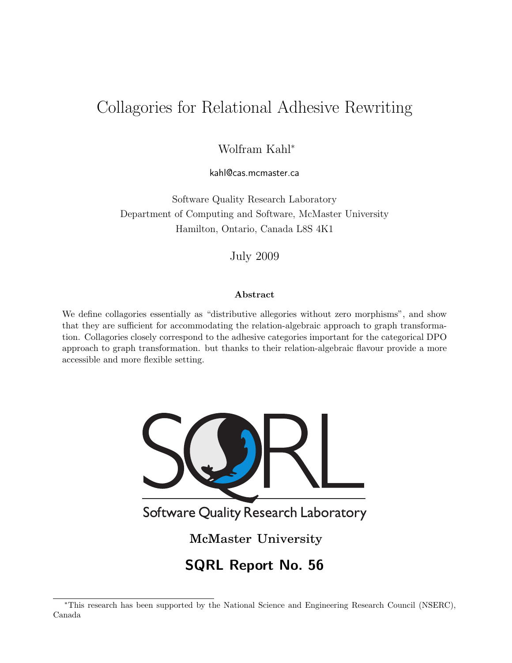# Collagories for Relational Adhesive Rewriting

Wolfram Kahl<sup>∗</sup>

kahl@cas.mcmaster.ca

Software Quality Research Laboratory Department of Computing and Software, McMaster University Hamilton, Ontario, Canada L8S 4K1

July 2009

#### Abstract

We define collagories essentially as "distributive allegories without zero morphisms", and show that they are sufficient for accommodating the relation-algebraic approach to graph transformation. Collagories closely correspond to the adhesive categories important for the categorical DPO approach to graph transformation. but thanks to their relation-algebraic flavour provide a more accessible and more flexible setting.



<sup>∗</sup>This research has been supported by the National Science and Engineering Research Council (NSERC), Canada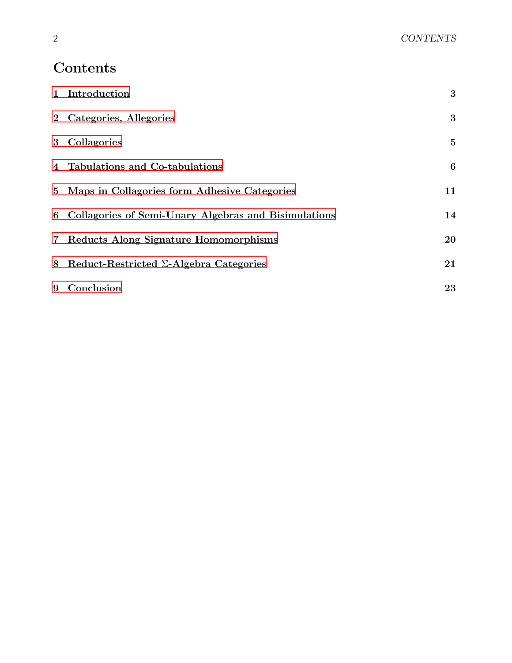# Contents

|   | 1 Introduction                                         | 3        |
|---|--------------------------------------------------------|----------|
|   | 2 Categories, Allegories                               | 3        |
|   | 3 Collagories                                          | $\bf{5}$ |
|   | 4 Tabulations and Co-tabulations                       | 6        |
|   | 5 Maps in Collagories form Adhesive Categories         | 11       |
|   | 6 Collagories of Semi-Unary Algebras and Bisimulations | 14       |
|   | 7 Reducts Along Signature Homomorphisms                | 20       |
| 8 | Reduct-Restricted $\Sigma$ -Algebra Categories         | 21       |
|   | 9 Conclusion                                           | 23       |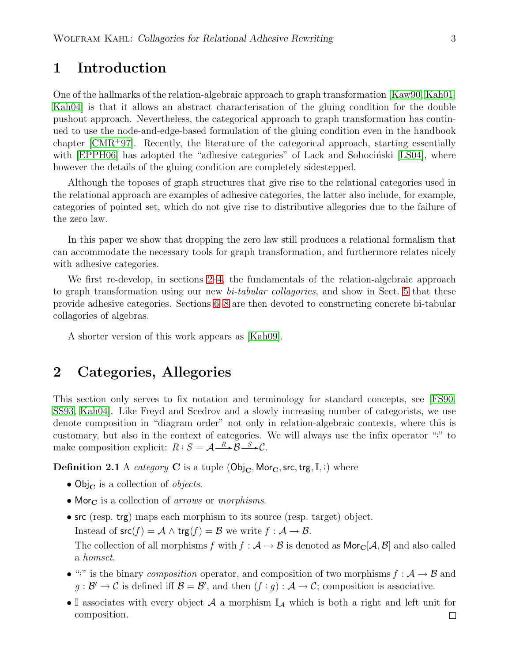# <span id="page-2-0"></span>1 Introduction

One of the hallmarks of the relation-algebraic approach to graph transformation [\[Kaw90,](#page-23-0) [Kah01,](#page-23-1) [Kah04\]](#page-23-2) is that it allows an abstract characterisation of the gluing condition for the double pushout approach. Nevertheless, the categorical approach to graph transformation has continued to use the node-and-edge-based formulation of the gluing condition even in the handbook chapter [\[CMR](#page-23-3)<sup>+</sup>97]. Recently, the literature of the categorical approach, starting essentially with  $[EPPH06]$  has adopted the "adhesive categories" of Lack and Sobocintski  $[LS04]$ , where however the details of the gluing condition are completely sidestepped.

Although the toposes of graph structures that give rise to the relational categories used in the relational approach are examples of adhesive categories, the latter also include, for example, categories of pointed set, which do not give rise to distributive allegories due to the failure of the zero law.

In this paper we show that dropping the zero law still produces a relational formalism that can accommodate the necessary tools for graph transformation, and furthermore relates nicely with adhesive categories.

We first re-develop, in sections [2](#page-2-1)[–4,](#page-5-0) the fundamentals of the relation-algebraic approach to graph transformation using our new *bi-tabular collagories*, and show in Sect. [5](#page-10-0) that these provide adhesive categories. Sections [6–](#page-13-0)[8](#page-20-0) are then devoted to constructing concrete bi-tabular collagories of algebras.

A shorter version of this work appears as [\[Kah09\]](#page-23-6).

#### <span id="page-2-1"></span>2 Categories, Allegories

This section only serves to fix notation and terminology for standard concepts, see [\[FS90,](#page-23-7) [SS93,](#page-23-8) [Kah04\]](#page-23-2). Like Freyd and Scedrov and a slowly increasing number of categorists, we use denote composition in "diagram order" not only in relation-algebraic contexts, where this is customary, but also in the context of categories. We will always use the infix operator ";" to make composition explicit:  $R : S = A \xrightarrow{R} \mathcal{B} \xrightarrow{S} \mathcal{C}$ .

**Definition 2.1** A *category* **C** is a tuple  $(\text{Obj}_{\text{C}}, \text{Mor}_{\text{C}}, \text{src}, \text{trg}, \mathbb{I}, \cdot)$  where

- Obj<sub>C</sub> is a collection of *objects*.
- Mor $_{\rm C}$  is a collection of *arrows* or *morphisms*.
- src (resp. trg) maps each morphism to its source (resp. target) object. Instead of  $\operatorname{src}(f) = A \wedge \operatorname{trg}(f) = B$  we write  $f : A \to B$ . The collection of all morphisms f with  $f : A \to B$  is denoted as  $\mathsf{Mor}_{\mathbb{C}}[A, B]$  and also called a homset.
- ";" is the binary *composition* operator, and composition of two morphisms  $f : A \rightarrow B$  and  $g: \mathcal{B}' \to \mathcal{C}$  is defined iff  $\mathcal{B} = \mathcal{B}'$ , and then  $(f : g): \mathcal{A} \to \mathcal{C}$ ; composition is associative.
- I associates with every object  $A$  a morphism  $\mathbb{I}_A$  which is both a right and left unit for composition. $\Box$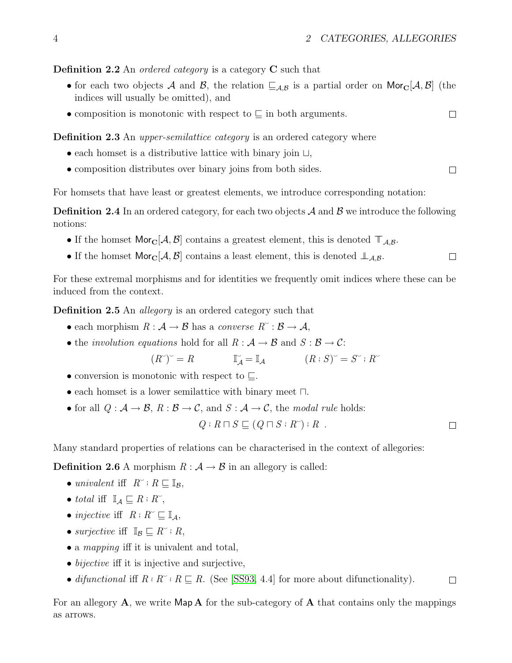$\Box$ 

 $\Box$ 

#### **Definition 2.2** An *ordered category* is a category  $C$  such that

- for each two objects A and B, the relation  $\subseteq_{\mathcal{A},\mathcal{B}}$  is a partial order on Mor $_{\mathbb{C}}[\mathcal{A},\mathcal{B}]$  (the indices will usually be omitted), and
- composition is monotonic with respect to  $\subseteq$  in both arguments.  $\Box$

#### **Definition 2.3** An *upper-semilattice category* is an ordered category where

- each homset is a distributive lattice with binary join ⊔,
- composition distributes over binary joins from both sides.

For homsets that have least or greatest elements, we introduce corresponding notation:

**Definition 2.4** In an ordered category, for each two objects  $A$  and  $B$  we introduce the following notions:

- If the homset Mor<sub>C</sub>[ $\mathcal{A}, \mathcal{B}$ ] contains a greatest element, this is denoted  $\mathbb{T}_{\mathcal{A},\mathcal{B}}$ .
- If the homset Mor<sub>C</sub>[ $\mathcal{A}, \mathcal{B}$ ] contains a least element, this is denoted  $\mathcal{L}_{\mathcal{A},\mathcal{B}}$ .  $\Box$

For these extremal morphisms and for identities we frequently omit indices where these can be induced from the context.

**Definition 2.5** An *allegory* is an ordered category such that

- each morphism  $R : \mathcal{A} \to \mathcal{B}$  has a converse  $R^{\sim} : \mathcal{B} \to \mathcal{A}$ ,
- the *involution equations* hold for all  $R : A \rightarrow B$  and  $S : B \rightarrow C$ :

$$
(R^{\sim})^{\sim} = R \qquad \qquad \mathbb{I}_{\mathcal{A}}^{\sim} = \mathbb{I}_{\mathcal{A}} \qquad \qquad (R: S)^{\sim} = S^{\sim} \colon R^{\sim}
$$

- conversion is monotonic with respect to  $\sqsubseteq$ .
- each homset is a lower semilattice with binary meet ⊓.

• for all 
$$
Q : A \rightarrow B
$$
,  $R : B \rightarrow C$ , and  $S : A \rightarrow C$ , the *modal rule* holds:

$$
Q: R \sqcap S \sqsubseteq (Q \sqcap S : R^*) : R .
$$

Many standard properties of relations can be characterised in the context of allegories:

**Definition 2.6** A morphism  $R : A \rightarrow B$  in an allegory is called:

- univalent iff  $R^{\sim}$ ;  $R \sqsubseteq \mathbb{I}_{\mathcal{B}}$ ,
- total iff  $\mathbb{I}_A \sqsubseteq R : R^*$ ,
- injective iff  $R: R^{\sim} \sqsubseteq \mathbb{I}_{\mathcal{A}}$ ,
- surjective iff  $\mathbb{I}_{\mathcal{B}} \subseteq R^{\sim}$ ; R,
- a *mapping* iff it is univalent and total,
- *bijective* iff it is injective and surjective,
- difunctional iff  $R : R^{\sim} : R \sqsubseteq R$ . (See [\[SS93,](#page-23-8) 4.4] for more about difunctionality).  $\Box$

For an allegory  $\bf{A}$ , we write  $\sf{Map}\bf{A}$  for the sub-category of  $\bf{A}$  that contains only the mappings as arrows.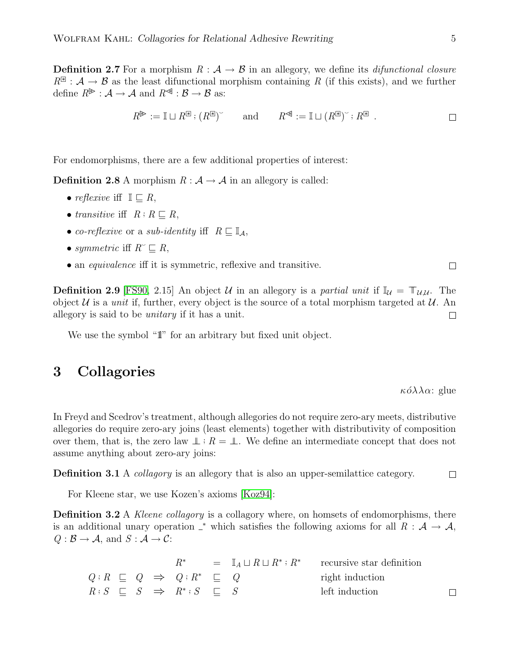**Definition 2.7** For a morphism  $R : A \rightarrow B$  in an allegory, we define its *difunctional closure*  $R^{\mathbb{R}}: \mathcal{A} \to \mathcal{B}$  as the least difunctional morphism containing R (if this exists), and we further define  $R^{\mathscr{F}}: \mathcal{A} \to \mathcal{A}$  and  $R^{\mathscr{F}}: \mathcal{B} \to \mathcal{B}$  as:

$$
R^{\mathbb{B}} := \mathbb{I} \sqcup R^{\mathbb{B}} : (R^{\mathbb{B}})^{\check{}} \quad \text{and} \quad R^{\mathbb{B}} := \mathbb{I} \sqcup (R^{\mathbb{B}})^{\check{}} : R^{\mathbb{B}} .
$$

For endomorphisms, there are a few additional properties of interest:

**Definition 2.8** A morphism  $R : A \rightarrow A$  in an allegory is called:

- reflexive iff  $\mathbb{I} \subseteq R$ ,
- transitive iff  $R: R \sqsubseteq R$ ,
- co-reflexive or a sub-identity iff  $R \sqsubseteq \mathbb{I}_A$ ,
- symmetric iff  $R \subseteq R$ ,
- an *equivalence* if it is symmetric, reflexive and transitive.

**Definition 2.9** [\[FS90,](#page-23-7) 2.15] An object U in an allegory is a partial unit if  $\mathbb{I}_U = \mathbb{T}_{U,U}$ . The object U is a *unit* if, further, every object is the source of a total morphism targeted at U. An allegory is said to be unitary if it has a unit.  $\Box$ 

We use the symbol "1" for an arbitrary but fixed unit object.

#### <span id="page-4-0"></span>3 Collagories

 $\kappa \acute{o} \lambda \lambda \alpha$ : glue

In Freyd and Scedrov's treatment, although allegories do not require zero-ary meets, distributive allegories do require zero-ary joins (least elements) together with distributivity of composition over them, that is, the zero law  $\perp$  :  $R = \perp$ . We define an intermediate concept that does not assume anything about zero-ary joins:

**Definition 3.1** A *collagory* is an allegory that is also an upper-semilattice category.  $\Box$ 

For Kleene star, we use Kozen's axioms [\[Koz94\]](#page-23-9):

**Definition 3.2** A *Kleene collagory* is a collagory where, on homsets of endomorphisms, there is an additional unary operation  $\chi^*$  which satisfies the following axioms for all  $R : A \to A$ ,  $Q : \mathcal{B} \to \mathcal{A}$ , and  $S : \mathcal{A} \to \mathcal{C}$ :

|  |  |                                                                                        |  | $R^*$ = $\mathbb{I}_A \sqcup R \sqcup R^*$ ; $R^*$ recursive star definition |  |
|--|--|----------------------------------------------------------------------------------------|--|------------------------------------------------------------------------------|--|
|  |  | $Q: R \subseteq Q \Rightarrow Q: R^* \subseteq Q$                                      |  | right induction                                                              |  |
|  |  | $R: S \quad \sqsubset \quad S \quad \Rightarrow \quad R^* : S \quad \sqsubset \quad S$ |  | left induction                                                               |  |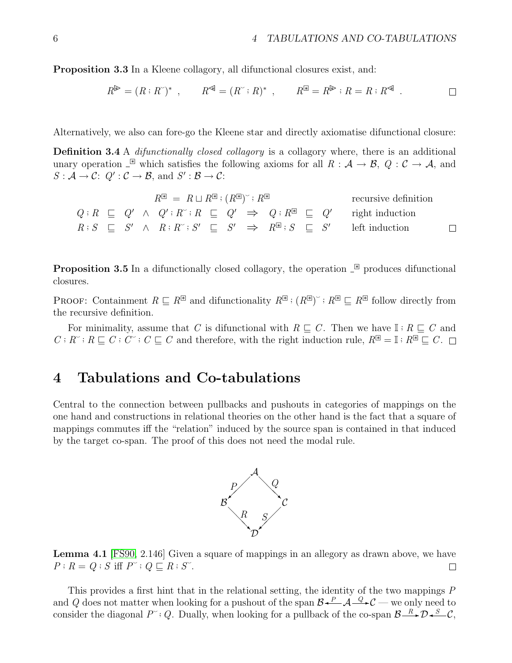Proposition 3.3 In a Kleene collagory, all difunctional closures exist, and:

$$
R^{\mathbb{P}} = (R:R^{\vee})^*, \qquad R^{\mathbb{A}} = (R^{\vee}:R)^*, \qquad R^{\mathbb{B}} = R^{\mathbb{P}}:R = R:R^{\mathbb{A}}.
$$

Alternatively, we also can fore-go the Kleene star and directly axiomatise difunctional closure:

**Definition 3.4** A *difunctionally closed collagory* is a collagory where, there is an additional unary operation  $\Box$  which satisfies the following axioms for all  $R : \mathcal{A} \to \mathcal{B}$ ,  $Q : \mathcal{C} \to \mathcal{A}$ , and  $S: \mathcal{A} \to \mathcal{C}: Q': \mathcal{C} \to \mathcal{B}$ , and  $S': \mathcal{B} \to \mathcal{C}:$ 

| $R^{\mathbb{R}} = R \sqcup R^{\mathbb{R}}$ ; $(R^{\mathbb{R}})^{\sim}$ ; $R^{\mathbb{R}}$ |  |  |  |  |  |  |  |  | recursive definition |                                                                                                                    |        |
|-------------------------------------------------------------------------------------------|--|--|--|--|--|--|--|--|----------------------|--------------------------------------------------------------------------------------------------------------------|--------|
|                                                                                           |  |  |  |  |  |  |  |  |                      | $Q: R \subseteq Q' \land Q': R^{\sim} : R \subseteq Q' \Rightarrow Q: R^{\mathbb{R}} \subseteq Q'$ right induction |        |
|                                                                                           |  |  |  |  |  |  |  |  |                      | $R: S \subseteq S' \land R: R^{\sim}: S' \subseteq S' \Rightarrow R^{\mathbb{E}}: S \subseteq S'$ left induction   | $\Box$ |

**Proposition 3.5** In a difunctionally closed collagory, the operation  $\stackrel{\circ}{\phantom{}}\mathbb{R}$  produces difunctional closures.

PROOF: Containment  $R \subseteq R^{\mathbb{E}}$  and difunctionality  $R^{\mathbb{E}} : (R^{\mathbb{E}})^{\sim} : R^{\mathbb{E}} \subseteq R^{\mathbb{E}}$  follow directly from the recursive definition.

For minimality, assume that C is difunctional with  $R \sqsubseteq C$ . Then we have  $\mathbb{I} : R \sqsubseteq C$  and  $C: R^{\sim} : R \sqsubseteq C : C^{\sim} : C \sqsubseteq C$  and therefore, with the right induction rule,  $R^{\mathbb{R}} = \mathbb{I} : R^{\mathbb{R}} \sqsubseteq C$ .

#### <span id="page-5-0"></span>4 Tabulations and Co-tabulations

Central to the connection between pullbacks and pushouts in categories of mappings on the one hand and constructions in relational theories on the other hand is the fact that a square of mappings commutes iff the "relation" induced by the source span is contained in that induced by the target co-span. The proof of this does not need the modal rule.



Lemma 4.1 [\[FS90,](#page-23-7) 2.146] Given a square of mappings in an allegory as drawn above, we have  $P: R = Q: S \text{ iff } P^{\sim}: Q \sqsubseteq R: S^{\sim}.$  $\Box$ 

This provides a first hint that in the relational setting, the identity of the two mappings P and Q does not matter when looking for a pushout of the span  $\mathcal{B} \stackrel{P}{\leftarrow} \mathcal{A} \stackrel{Q}{\leftarrow} \mathcal{C}$  — we only need to consider the diagonal  $P^{\sim}$ ; Q. Dually, when looking for a pullback of the co-span  $\mathcal{B} \longrightarrow^{\mathcal{B}} \mathcal{D} \longrightarrow^{\mathcal{S}} C$ ,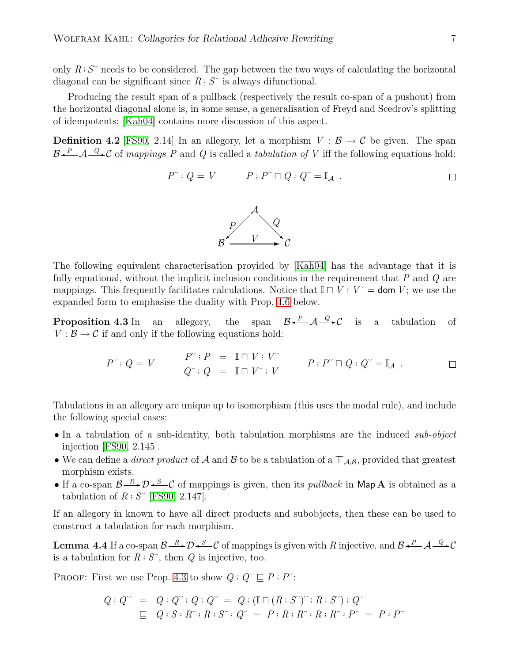only  $R: S^{\sim}$  needs to be considered. The gap between the two ways of calculating the horizontal diagonal can be significant since  $R : S^{\sim}$  is always difunctional.

Producing the result span of a pullback (respectively the result co-span of a pushout) from the horizontal diagonal alone is, in some sense, a generalisation of Freyd and Scedrov's splitting of idempotents; [\[Kah04\]](#page-23-2) contains more discussion of this aspect.

**Definition 4.2** [\[FS90,](#page-23-7) 2.14] In an allegory, let a morphism  $V : \mathcal{B} \to \mathcal{C}$  be given. The span  $B \leftarrow A \leftarrow Q \cdot C$  of mappings P and Q is called a tabulation of V iff the following equations hold:

$$
P^{\sim}: Q = V \qquad P: P^{\sim} \cap Q: Q^{\sim} = \mathbb{I}_{\mathcal{A}} \ .
$$



The following equivalent characterisation provided by [\[Kah04\]](#page-23-2) has the advantage that it is fully equational, without the implicit inclusion conditions in the requirement that  $P$  and  $Q$  are mappings. This frequently facilitates calculations. Notice that  $\mathbb{I} \cap V : V^* =$  dom V; we use the expanded form to emphasise the duality with Prop. [4.6](#page-7-0) below.

<span id="page-6-0"></span>**Proposition 4.3** In an allegory, the span  $\mathcal{B} \stackrel{P}{\leftarrow} \mathcal{A} \stackrel{Q}{\rightarrow} \mathcal{C}$  is a tabulation of  $V : \mathcal{B} \to \mathcal{C}$  if and only if the following equations hold:

$$
P^{\sim}: Q = V \qquad \begin{array}{rcl} P^{\sim}: P & = & \mathbb{I} \sqcap V : V^{\sim} \\ Q^{\sim}: Q & = & \mathbb{I} \sqcap V^{\sim}: V \end{array} \qquad P : P^{\sim} \sqcap Q : Q^{\sim} = \mathbb{I}_A \ . \qquad \qquad \square
$$

Tabulations in an allegory are unique up to isomorphism (this uses the modal rule), and include the following special cases:

- In a tabulation of a sub-identity, both tabulation morphisms are the induced sub-object injection [\[FS90,](#page-23-7) 2.145].
- We can define a *direct product* of A and B to be a tabulation of a  $\mathbb{T}_{\mathcal{A},\mathcal{B}}$ , provided that greatest morphism exists.
- If a co-span  $\beta \longrightarrow \infty$  of mappings is given, then its *pullback* in Map A is obtained as a tabulation of  $R : S^{\sim}$  [\[FS90,](#page-23-7) 2.147].

<span id="page-6-1"></span>If an allegory in known to have all direct products and subobjects, then these can be used to construct a tabulation for each morphism.

**Lemma 4.4** If a co-span  $\mathcal{B} \longrightarrow \mathcal{D} \rightarrow \mathcal{C}$  of mappings is given with R injective, and  $\mathcal{B} \rightarrow \mathcal{A} \rightarrow \mathcal{C}$ is a tabulation for  $R$ ;  $S^{\sim}$ , then  $Q$  is injective, too.

PROOF: First we use Prop. [4.3](#page-6-0) to show  $Q: Q^{\sim} \sqsubseteq P : P^{\sim}$ :

$$
Q: Q^{\sim} = Q: Q^{\sim}: Q: Q^{\sim} = Q: (\mathbb{I} \sqcap (R: S^{\sim})^{\sim}: R: S^{\sim}) : Q^{\sim}
$$
  
\n
$$
\sqsubseteq Q: S: R^{\sim}: R: S^{\sim}: Q^{\sim} = P: R: R^{\sim}: R: R^{\sim}: P^{\sim} = P: P^{\sim}
$$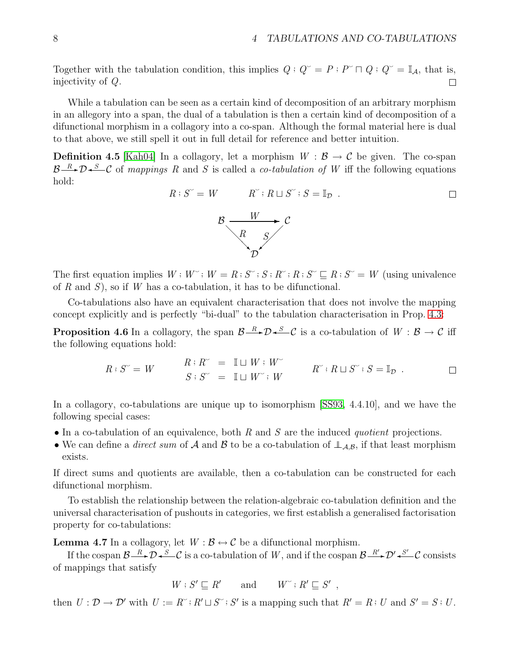Together with the tabulation condition, this implies  $Q: Q^{\sim} = P: P^{\sim} \cap Q: Q^{\sim} = \mathbb{I}_{\mathcal{A}}$ , that is, injectivity of Q.  $\Box$ 

While a tabulation can be seen as a certain kind of decomposition of an arbitrary morphism in an allegory into a span, the dual of a tabulation is then a certain kind of decomposition of a difunctional morphism in a collagory into a co-span. Although the formal material here is dual to that above, we still spell it out in full detail for reference and better intuition.

**Definition 4.5** [\[Kah04\]](#page-23-2) In a collagory, let a morphism  $W : \mathcal{B} \to \mathcal{C}$  be given. The co-span  $B \rightarrow D \rightarrow \infty$  of mappings R and S is called a co-tabulation of W iff the following equations hold:

$$
R: S^{\sim} = W \qquad R^{\sim}: R \sqcup S^{\sim}: S = \mathbb{I}_{\mathcal{D}} \ .
$$

The first equation implies  $W : W^{\sim} : W = R : S^{\sim} : S : R^{\sim} : R : S^{\sim} \sqsubseteq R : S^{\sim} = W$  (using univalence of R and S), so if W has a co-tabulation, it has to be difunctional.

<span id="page-7-0"></span>Co-tabulations also have an equivalent characterisation that does not involve the mapping concept explicitly and is perfectly "bi-dual" to the tabulation characterisation in Prop. [4.3:](#page-6-0)

**Proposition 4.6** In a collagory, the span  $\mathcal{B}\longrightarrow\mathcal{D}\longrightarrow\mathcal{C}$  is a co-tabulation of  $W:\mathcal{B}\to\mathcal{C}$  iff the following equations hold:

$$
R: S^{\sim} = W \qquad \begin{array}{rcl} R: R^{\sim} & = & \mathbb{I} \sqcup W: W^{\sim} \\ S: S^{\sim} & = & \mathbb{I} \sqcup W^{\sim}; W \end{array} \qquad R^{\sim}: R \sqcup S^{\sim}; S = \mathbb{I}_{\mathcal{D}} \ .
$$

In a collagory, co-tabulations are unique up to isomorphism [\[SS93,](#page-23-8) 4.4.10], and we have the following special cases:

- In a co-tabulation of an equivalence, both  $R$  and  $S$  are the induced *quotient* projections.
- We can define a *direct sum* of A and B to be a co-tabulation of  $\perp_{A,B}$ , if that least morphism exists.

If direct sums and quotients are available, then a co-tabulation can be constructed for each difunctional morphism.

To establish the relationship between the relation-algebraic co-tabulation definition and the universal characterisation of pushouts in categories, we first establish a generalised factorisation property for co-tabulations:

<span id="page-7-1"></span>**Lemma 4.7** In a collagory, let  $W : \mathcal{B} \leftrightarrow \mathcal{C}$  be a difunctional morphism.

If the cospan  $\mathcal{B}\longrightarrow\mathcal{B}\longrightarrow\mathcal{D}\longrightarrow\mathcal{S}'$  is a co-tabulation of W, and if the cospan  $\mathcal{B}\longrightarrow\mathcal{B}'\longrightarrow\mathcal{D}'\longrightarrow\mathcal{S}'$  consists of mappings that satisfy

$$
W : S' \sqsubseteq R' \qquad \text{and} \qquad W^{\sim} : R' \sqsubseteq S' ,
$$

then  $U: \mathcal{D} \to \mathcal{D}'$  with  $U := R^{\sim} : R' \sqcup S^{\sim} : S'$  is a mapping such that  $R' = R : U$  and  $S' = S : U$ .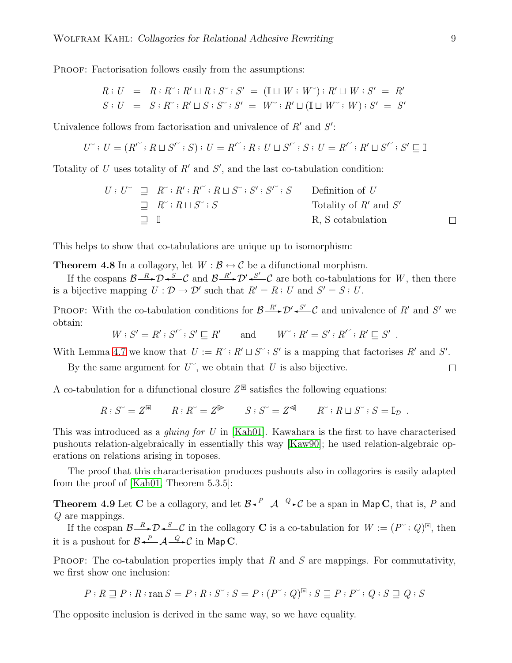PROOF: Factorisation follows easily from the assumptions:

$$
R: U = R: R^* : R' \sqcup R: S^* : S' = (\mathbb{I} \sqcup W: W^*) : R' \sqcup W: S' = R'
$$
  

$$
S: U = S: R^* : R' \sqcup S: S^* : S' = W^* : R' \sqcup (\mathbb{I} \sqcup W^* : W): S' = S'
$$

Univalence follows from factorisation and univalence of  $R'$  and  $S'$ :

$$
U^{\sim} \colon U = (R^{\prime^{\sim}} \colon R \sqcup S^{\prime^{\sim}} \colon S) \colon U = R^{\prime^{\sim}} \colon R \colon U \sqcup S^{\prime^{\sim}} \colon S \colon U = R^{\prime^{\sim}} \colon R^{\prime} \sqcup S^{\prime^{\sim}} \colon S^{\prime} \sqsubseteq \mathbb{I}
$$

Totality of U uses totality of  $R'$  and  $S'$ , and the last co-tabulation condition:

$$
U: U^{\sim} \subseteq R^{\sim}: R': R'': R \sqcup S^{\sim}: S': S'': S \qquad \text{Definition of } U
$$
  
\n
$$
\subseteq R^{\sim}: R \sqcup S^{\sim}: S \qquad \text{Totality of } R' \text{ and } S'
$$
  
\n
$$
\subseteq I \qquad \qquad R, S \text{ cotabulation} \qquad \Box
$$

This helps to show that co-tabulations are unique up to isomorphism:

**Theorem 4.8** In a collagory, let  $W : \mathcal{B} \leftrightarrow \mathcal{C}$  be a difunctional morphism.

If the cospans  $\mathcal{B}\longrightarrow\mathcal{D}\rightarrow\mathcal{S}\longrightarrow\mathcal{C}$  and  $\mathcal{B}\longrightarrow\mathcal{D}'\rightarrow\mathcal{S}'\longrightarrow\mathcal{C}$  are both co-tabulations for W, then there is a bijective mapping  $U : \mathcal{D} \to \mathcal{D}'$  such that  $R' = R : U$  and  $S' = S : U$ .

PROOF: With the co-tabulation conditions for  $\mathcal{B} \xrightarrow{R'} \mathcal{D}' \xleftarrow{S'} \mathcal{C}$  and univalence of R' and S' we obtain:

$$
W: S' = R': S'^{\sim}: S' \sqsubseteq R' \quad \text{and} \quad W^{\sim}: R' = S': R'^{\sim}: R' \sqsubseteq S' \ .
$$

With Lemma [4.7](#page-7-1) we know that  $U := R^{\sim} : R' \sqcup S^{\sim} : S'$  is a mapping that factorises  $R'$  and  $S'$ .

By the same argument for  $U^{\sim}$ , we obtain that U is also bijective.

A co-tabulation for a difunctional closure  $Z^{\mathbb{R}}$  satisfies the following equations:

 $R: S^{\sim} = Z^{\mathbb{R}}$   $R: R^{\sim} = Z^{\mathbb{R}}$   $S: S^{\sim} = Z^{\mathbb{R}}$   $R^{\sim} : R \sqcup S^{\sim} : S = \mathbb{I}_{\mathcal{D}}$ .

This was introduced as a *gluing for U* in [\[Kah01\]](#page-23-1). Kawahara is the first to have characterised pushouts relation-algebraically in essentially this way [\[Kaw90\]](#page-23-0); he used relation-algebraic operations on relations arising in toposes.

The proof that this characterisation produces pushouts also in collagories is easily adapted from the proof of [\[Kah01,](#page-23-1) Theorem 5.3.5]:

**Theorem 4.9** Let C be a collagory, and let  $\mathcal{B} \xleftarrow{P} \mathcal{A} \xrightarrow{Q} \mathcal{C}$  be a span in Map C, that is, P and Q are mappings.

If the cospan  $\mathcal{B} \longrightarrow \mathcal{D} \longrightarrow \mathcal{S}$  in the collagory **C** is a co-tabulation for  $W := (P^{\sim} : Q)^{\mathbb{B}}$ , then it is a pushout for  $\mathcal{B} \xleftarrow{P} \mathcal{A} \xrightarrow{Q} \mathcal{C}$  in Map C.

**PROOF:** The co-tabulation properties imply that  $R$  and  $S$  are mappings. For commutativity, we first show one inclusion:

$$
P: R \sqsupseteq P: R: \text{ran } S = P: R: S^{\sim}: S = P: (P^{\sim}: Q)^{\boxtimes}: S \sqsupseteq P: P^{\sim}: Q: S \sqsupseteq Q: S
$$

The opposite inclusion is derived in the same way, so we have equality.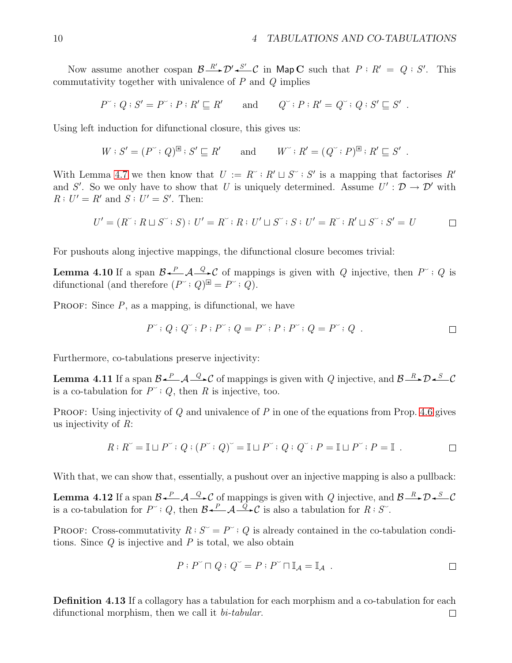Now assume another cospan  $\mathcal{B} \xrightarrow{R'} \mathcal{D}' \xleftarrow{S'} C$  in Map C such that  $P : R' = Q : S'$ . This commutativity together with univalence of  $P$  and  $Q$  implies

$$
P^{\sim}: Q: S'=P^{\sim}: P: R'\sqsubseteq R' \qquad \text{and} \qquad Q^{\sim}: P: R'=Q^{\sim}: Q: S'\sqsubseteq S' \ .
$$

Using left induction for difunctional closure, this gives us:

$$
W: S' = (P^{\sim} : Q)^{\mathbb{R}} : S' \sqsubseteq R' \quad \text{and} \quad W^{\sim} : R' = (Q^{\sim} : P)^{\mathbb{R}} : R' \sqsubseteq S' \ .
$$

With Lemma [4.7](#page-7-1) we then know that  $U := R^{\sim} : R' \sqcup S^{\sim} : S'$  is a mapping that factorises  $R'$ and S'. So we only have to show that U is uniquely determined. Assume  $U': \mathcal{D} \to \mathcal{D}'$  with  $R: U' = R'$  and  $S: U' = S'$ . Then:

$$
U' = (R^{\sim} : R \sqcup S^{\sim} : S) : U' = R^{\sim} : R : U' \sqcup S^{\sim} : S : U' = R^{\sim} : R' \sqcup S^{\sim} : S' = U
$$

<span id="page-9-1"></span>For pushouts along injective mappings, the difunctional closure becomes trivial:

**Lemma 4.10** If a span  $\mathcal{B} \stackrel{P}{\longleftarrow} \mathcal{A} \stackrel{Q}{\longrightarrow} \mathcal{C}$  of mappings is given with Q injective, then  $P^{\sim}$ ; Q is difunctional (and therefore  $(P^{\sim} : Q)^{\boxtimes} = P^{\sim} : Q$ ).

PROOF: Since  $P$ , as a mapping, is difunctional, we have

$$
P^{\sim}: Q: Q^{\sim}: P: P^{\sim}: Q = P^{\sim}: P: P^{\sim}: Q = P^{\sim}: Q . \Box
$$

<span id="page-9-0"></span>Furthermore, co-tabulations preserve injectivity:

**Lemma 4.11** If a span  $\mathcal{B} \stackrel{P}{\leftarrow} \mathcal{A} \stackrel{Q}{\rightarrow} \mathcal{C}$  of mappings is given with Q injective, and  $\mathcal{B} \stackrel{R}{\rightarrow} \mathcal{D} \stackrel{S}{\rightarrow} \mathcal{C}$ is a co-tabulation for  $P^{\sim}$ ; Q, then R is injective, too.

**PROOF:** Using injectivity of  $Q$  and univalence of  $P$  in one of the equations from Prop. [4.6](#page-7-0) gives us injectivity of  $R$ :

$$
R: R^{\sim} = \mathbb{I} \sqcup P^{\sim} \colon Q : (P^{\sim} : Q)^{\sim} = \mathbb{I} \sqcup P^{\sim} \colon Q : Q^{\sim} : P = \mathbb{I} \sqcup P^{\sim} : P = \mathbb{I} \ .
$$

With that, we can show that, essentially, a pushout over an injective mapping is also a pullback:

**Lemma 4.12** If a span  $\mathcal{B} \stackrel{P}{\longleftarrow} \mathcal{A} \stackrel{Q}{\longrightarrow} \mathcal{C}$  of mappings is given with Q injective, and  $\mathcal{B} \stackrel{R}{\longrightarrow} \mathcal{D} \stackrel{S}{\longrightarrow} \mathcal{C}$ is a co-tabulation for  $P^{\sim}$ ; Q, then  $\mathcal{B}\leftarrow A\stackrel{Q}{\longrightarrow}C$  is also a tabulation for  $R: S^{\sim}$ .

**PROOF:** Cross-commutativity  $R: S^{\sim} = P^{\sim}$ ; Q is already contained in the co-tabulation conditions. Since  $Q$  is injective and  $P$  is total, we also obtain

$$
P: P^{\sim} \sqcap Q: Q^{\sim} = P: P^{\sim} \sqcap \mathbb{I}_{\mathcal{A}} = \mathbb{I}_{\mathcal{A}} .
$$

Definition 4.13 If a collagory has a tabulation for each morphism and a co-tabulation for each difunctional morphism, then we call it bi-tabular. $\Box$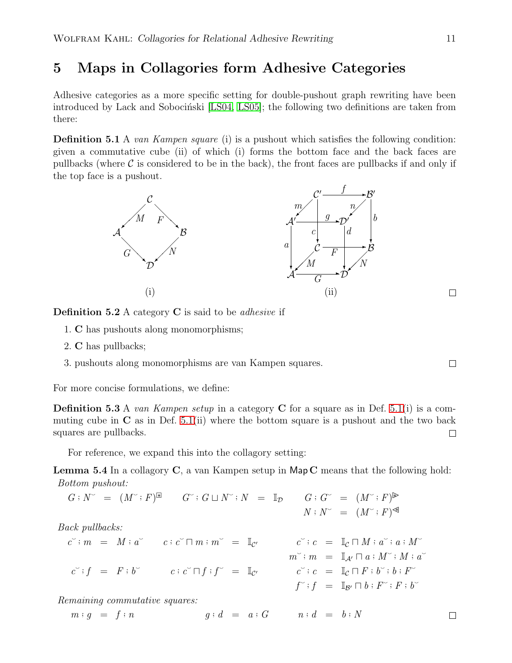# <span id="page-10-0"></span>5 Maps in Collagories form Adhesive Categories

<span id="page-10-1"></span>Adhesive categories as a more specific setting for double-pushout graph rewriting have been introduced by Lack and Sobocinski [\[LS04,](#page-23-5) [LS05\]](#page-23-10); the following two definitions are taken from there:

**Definition 5.1** A van Kampen square (i) is a pushout which satisfies the following condition: given a commutative cube (ii) of which (i) forms the bottom face and the back faces are pullbacks (where  $\mathcal C$  is considered to be in the back), the front faces are pullbacks if and only if the top face is a pushout.



**Definition 5.2** A category  $C$  is said to be *adhesive* if

- 1. C has pushouts along monomorphisms;
- 2. C has pullbacks;
- 3. pushouts along monomorphisms are van Kampen squares.

For more concise formulations, we define:

**Definition 5.3** A van Kampen setup in a category C for a square as in Def. [5.1\(](#page-10-1)i) is a commuting cube in  $\bf{C}$  as in Def. [5.1\(](#page-10-1)ii) where the bottom square is a pushout and the two back squares are pullbacks.  $\Box$ 

For reference, we expand this into the collagory setting:

**Lemma 5.4** In a collagory  $C$ , a van Kampen setup in Map  $C$  means that the following hold: Bottom pushout:

$$
G:N^{\sim} = (M^{\sim} : F)^{\mathbb{R}} \qquad G^{\sim} : G \sqcup N^{\sim} : N = \mathbb{I}_{\mathcal{D}} \qquad G : G^{\sim} = (M^{\sim} : F)^{\mathbb{R}}
$$
  

$$
N : N^{\sim} = (M^{\sim} : F)^{\mathbb{R}}
$$

Back pullbacks:

$$
c^{\sim} : m = M : a^{\sim} \qquad c : c^{\sim} \cap m : m^{\sim} = \mathbb{I}_{\mathcal{C}'} \qquad \begin{array}{c} c^{\sim} : c = \mathbb{I}_{\mathcal{C}} \cap M : a^{\sim} : a : M^{\sim} \\ m^{\sim} : m = \mathbb{I}_{\mathcal{A}'} \cap a : M^{\sim} : M : a^{\sim} \\ c^{\sim} : f = F : b^{\sim} \qquad c : c^{\sim} \cap f : f^{\sim} = \mathbb{I}_{\mathcal{C}'} \qquad \begin{array}{c} c^{\sim} : c = \mathbb{I}_{\mathcal{C}} \cap M : a^{\sim} : M : a^{\sim} \\ c^{\sim} : c = \mathbb{I}_{\mathcal{C}} \cap F : b^{\sim} : b : F^{\sim} \\ f^{\sim} : f = \mathbb{I}_{\mathcal{B}'} \cap b : F^{\sim} : F : b^{\sim} \end{array}
$$

Remaining commutative squares:

$$
m:g = f:n \qquad \qquad g:d = a:G \qquad n:d = b:N \qquad \qquad \square
$$

<span id="page-10-2"></span> $\Box$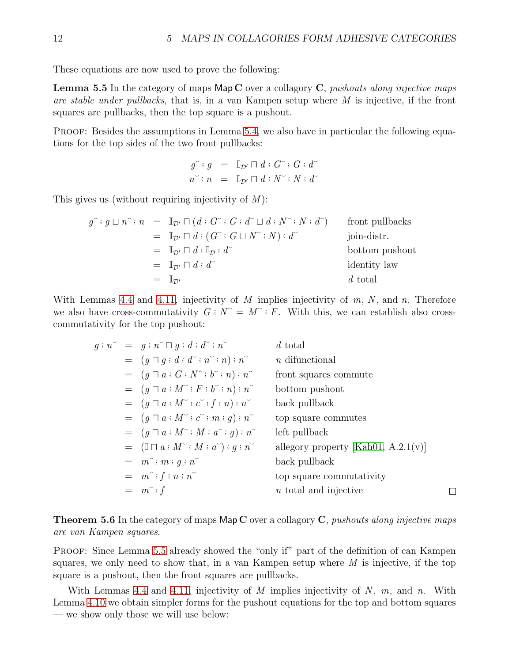<span id="page-11-0"></span>These equations are now used to prove the following:

**Lemma 5.5** In the category of maps  $\mathsf{Map}\mathbf{C}$  over a collagory  $\mathbf{C}$ , pushouts along injective maps are stable under pullbacks, that is, in a van Kampen setup where  $M$  is injective, if the front squares are pullbacks, then the top square is a pushout.

PROOF: Besides the assumptions in Lemma [5.4,](#page-10-2) we also have in particular the following equations for the top sides of the two front pullbacks:

$$
g^{\sim} : g = \mathbb{I}_{\mathcal{D}'} \sqcap d : G^{\sim} : G : d^{\sim}
$$
  

$$
n^{\sim} : n = \mathbb{I}_{\mathcal{D}'} \sqcap d : N^{\sim} : N : d^{\sim}
$$

This gives us (without requiring injectivity of  $M$ ):

$$
g^{\sim}: g \sqcup n^{\sim}: n = \mathbb{I}_{\mathcal{D}'} \sqcap (d: G^{\sim}: G: d^{\sim} \sqcup d: N^{\sim}: N: d^{\sim}) \quad \text{front pullbacks}
$$
\n
$$
= \mathbb{I}_{\mathcal{D}'} \sqcap d: (G^{\sim}: G \sqcup N^{\sim}: N): d^{\sim} \quad \text{join-distr.}
$$
\n
$$
= \mathbb{I}_{\mathcal{D}'} \sqcap d: \mathbb{I}_{\mathcal{D}}: d^{\sim} \quad \text{bottom pushout}
$$
\n
$$
= \mathbb{I}_{\mathcal{D}'} \sqcap d: d^{\sim} \quad \text{identity law}
$$
\n
$$
= \mathbb{I}_{\mathcal{D}'} \quad d \text{ total}
$$

With Lemmas [4.4](#page-6-1) and [4.11,](#page-9-0) injectivity of M implies injectivity of  $m, N$ , and  $n$ . Therefore we also have cross-commutativity  $G : N^{\sim} = M^{\sim} : F$ . With this, we can establish also crosscommutativity for the top pushout:

$$
g; n^{\sim} = g; n^{\sim} \sqcap g; d; d^{\sim}; n^{\sim} \qquad d \text{ total}
$$
  
\n
$$
= (g \sqcap g; d; d^{\sim}; n^{\sim}; n); n^{\sim} \qquad n \text{ difunctional}
$$
  
\n
$$
= (g \sqcap a; G; N^{\sim}; b^{\sim}; n); n^{\sim} \qquad \text{front squares commute}
$$
  
\n
$$
= (g \sqcap a; M^{\sim}; F; b^{\sim}; n); n^{\sim} \qquad \text{bottom pushout}
$$
  
\n
$$
= (g \sqcap a; M^{\sim}; c^{\sim}; f; n); n^{\sim} \qquad \text{back pullback}
$$
  
\n
$$
= (g \sqcap a; M^{\sim}; c^{\sim}; m; g); n^{\sim} \qquad \text{top square commutes}
$$
  
\n
$$
= (g \sqcap a; M^{\sim}; M; a^{\sim}; g); n^{\sim} \qquad \text{left pullback}
$$
  
\n
$$
= (\mathbb{I} \sqcap a; M^{\sim}; M; a^{\sim}); g; n^{\sim} \qquad \text{allegory property [Kah01, A.2.1(v)]}
$$
  
\n
$$
= m^{\sim}; m; g; n^{\sim} \qquad \text{back pullback}
$$
  
\n
$$
= m^{\sim}; f; n; n^{\sim} \qquad \text{top square commutativity}
$$
  
\n
$$
= m^{\sim}; f \qquad n \text{ total and injective}
$$

**Theorem 5.6** In the category of maps  $\text{Map } C$  over a collagory  $C$ , *pushouts along injective maps* are van Kampen squares.

PROOF: Since Lemma [5.5](#page-11-0) already showed the "only if" part of the definition of can Kampen squares, we only need to show that, in a van Kampen setup where  $M$  is injective, if the top square is a pushout, then the front squares are pullbacks.

With Lemmas [4.4](#page-6-1) and [4.11,](#page-9-0) injectivity of M implies injectivity of N,  $m$ , and  $n$ . With Lemma [4.10](#page-9-1) we obtain simpler forms for the pushout equations for the top and bottom squares — we show only those we will use below: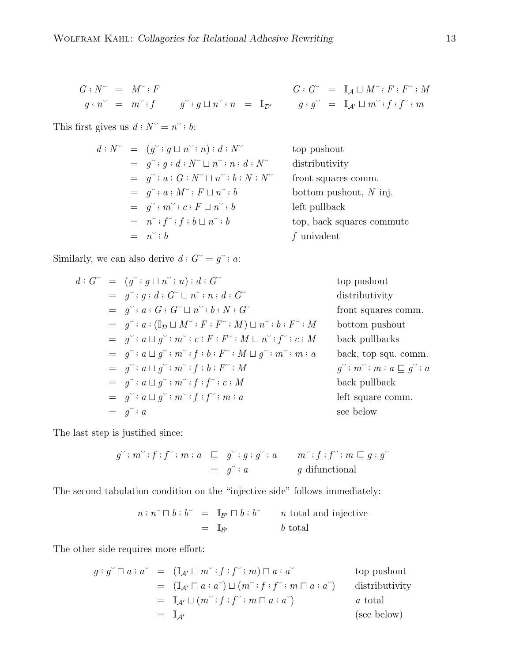$$
G:N^{\sim} = M^{\sim} : F
$$
  

$$
g:n^{\sim} = m^{\sim} : f
$$
  

$$
g^{\sim} : g \sqcup n^{\sim} : n = \mathbb{I}_{\mathcal{D}'} \qquad g
$$

This first gives us  $d : N^{\sim} = n^{\sim} : b$ :

$$
d: N^{\sim} = (g^{\sim}; g \sqcup n^{\sim}; n); d: N^{\sim} \qquad \text{to}
$$
  
\n
$$
= g^{\sim}; g: d: N^{\sim} \sqcup n^{\sim}; n: d: N^{\sim} \qquad \text{d}
$$
  
\n
$$
= g^{\sim}; a: G: N^{\sim} \sqcup n^{\sim}; b: N: N^{\sim} \qquad \text{f}
$$
  
\n
$$
= g^{\sim}; a: M^{\sim}; F \sqcup n^{\sim}; b \qquad \qquad \text{b}
$$
  
\n
$$
= g^{\sim}; m^{\sim}; c: F \sqcup n^{\sim}; b \qquad \qquad \text{f}
$$
  
\n
$$
= n^{\sim}; b \qquad \qquad f
$$

 $G^{\sim} = \mathbb{I}_{\mathcal{A}} \sqcup M^{\sim} : F : F^{\sim} : M$  $\forall n \neq \mathbb{I}_{\mathcal{D}'} \qquad g : g^{\sim} = \mathbb{I}_{\mathcal{A}'} \sqcup m^{\sim} : f : f^{\sim} : m$ 

> op pushout distributivity ront squares comm.  $\text{bottom}$  pushout,  $N$  inj. eft pullback op, back squares commute  $f$  univalent

Similarly, we can also derive  $d : G^{\sim} = g^{\sim} : a$ :

$$
d: G^{\sim} = (g^{\sim}; g \sqcup n^{\sim}; n) : d : G^{\sim} \qquad \text{top pushout}
$$
\n
$$
= g^{\sim}; g : d : G^{\sim} \sqcup n^{\sim}; n : d : G^{\sim} \qquad \text{distributivity}
$$
\n
$$
= g^{\sim}; a : G : G^{\sim} \sqcup n^{\sim}; b : N : G^{\sim} \qquad \text{front squares comm.}
$$
\n
$$
= g^{\sim}; a : (\mathbb{I}_{\mathcal{D}} \sqcup M^{\sim}; F : F^{\sim}; M) \sqcup n^{\sim}; b : F^{\sim}; M \qquad \text{bottom pushout}
$$
\n
$$
= g^{\sim}; a \sqcup g^{\sim}; m^{\sim}; f : b : F^{\sim}; M \sqcup g^{\sim}; m^{\sim}; m : a \qquad \text{back, top squ. comm.}
$$
\n
$$
= g^{\sim}; a \sqcup g^{\sim}; m^{\sim}; f : b : F^{\sim}; M \qquad g^{\sim}; m^{\sim}; m : a \sqsubseteq g^{\sim}; a
$$
\n
$$
= g^{\sim}; a \sqcup g^{\sim}; m^{\sim}; f : f^{\sim}; c : M \qquad \text{back pullback}
$$
\n
$$
= g^{\sim}; a \sqcup g^{\sim}; m^{\sim}; f : f^{\sim}; m : a \qquad \text{black pullback}
$$
\n
$$
= g^{\sim}; a \sqcup g^{\sim}; m^{\sim}; f : f^{\sim}; m : a \qquad \text{left square comm.}
$$
\n
$$
= g^{\sim}; a \qquad \text{see below}
$$

The last step is justified since:

$$
g^{\sim} : m^{\sim} : f : f^{\sim} : m : a \subseteq g^{\sim} : g : g^{\sim} : a \qquad m^{\sim} : f : f^{\sim} : m \subseteq g : g^{\sim}
$$
  
=  $g^{\sim} : a \qquad g \text{ difunctional}$ 

The second tabulation condition on the "injective side" follows immediately:

 $n : n \in \mathbb{R}^n$  =  $\mathbb{I}_{\mathcal{B}'} \cap b : b \subset \mathbb{R}^n$  total and injective  $=$   $\mathbb{I}_{\mathcal{B}'}$  b total

The other side requires more effort:

$$
g: g^{\sim} \cap a: a^{\sim} = (\mathbb{I}_{\mathcal{A}'} \sqcup m^{\sim} : f: f^{\sim} : m) \cap a: a^{\sim} \qquad \text{top pushout}
$$
  
\n
$$
= (\mathbb{I}_{\mathcal{A}'} \cap a: a^{\sim}) \sqcup (m^{\sim} : f: f^{\sim} : m \cap a: a^{\sim}) \qquad \text{distributivity}
$$
  
\n
$$
= \mathbb{I}_{\mathcal{A}'} \sqcup (m^{\sim} : f: f^{\sim} : m \cap a: a^{\sim}) \qquad a \text{ total}
$$
  
\n
$$
= \mathbb{I}_{\mathcal{A}'} \qquad \text{(see below)}
$$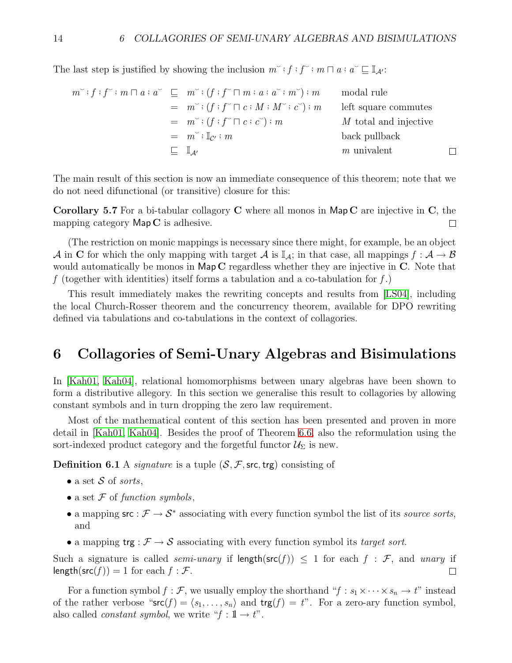The last step is justified by showing the inclusion  $m^{\sim}$ ;  $f$ ;  $f^{\sim}$ ;  $m \sqcap a$ ;  $a^{\sim} \sqsubseteq \mathbb{I}_{\mathcal{A}}$ .

$$
m^{\sim}: f: f^{\sim}: m \sqcap a: a^{\sim} \sqsubseteq m^{\sim}: (f: f^{\sim} \sqcap m: a: a^{\sim}: m^{\sim}): m \qquad \text{modal rule}
$$
\n
$$
= m^{\sim}: (f: f^{\sim} \sqcap c: M: M^{\sim}: c^{\sim}): m \qquad \text{left square commutes}
$$
\n
$$
= m^{\sim}: (f: f^{\sim} \sqcap c: c^{\sim}): m \qquad \qquad M \text{ total and injective}
$$
\n
$$
= m^{\sim}: \mathbb{I}_{c^{\prime}}: m \qquad \qquad \text{back pullback}
$$
\n
$$
\sqsubseteq \mathbb{I}_{\mathcal{A}^{\prime}} \qquad \qquad m \text{ univalent}
$$

The main result of this section is now an immediate consequence of this theorem; note that we do not need difunctional (or transitive) closure for this:

Corollary 5.7 For a bi-tabular collagory C where all monos in Map C are injective in C, the mapping category  $\mathsf{Map}\,\mathbf{C}$  is adhesive. П

(The restriction on monic mappings is necessary since there might, for example, be an object A in C for which the only mapping with target A is  $\mathbb{I}_A$ ; in that case, all mappings  $f : A \to B$ would automatically be monos in Map C regardless whether they are injective in C. Note that f (together with identities) itself forms a tabulation and a co-tabulation for  $f$ .)

This result immediately makes the rewriting concepts and results from [\[LS04\]](#page-23-5), including the local Church-Rosser theorem and the concurrency theorem, available for DPO rewriting defined via tabulations and co-tabulations in the context of collagories.

### <span id="page-13-0"></span>6 Collagories of Semi-Unary Algebras and Bisimulations

In [\[Kah01,](#page-23-1) [Kah04\]](#page-23-2), relational homomorphisms between unary algebras have been shown to form a distributive allegory. In this section we generalise this result to collagories by allowing constant symbols and in turn dropping the zero law requirement.

Most of the mathematical content of this section has been presented and proven in more detail in [\[Kah01,](#page-23-1) [Kah04\]](#page-23-2). Besides the proof of Theorem [6.6,](#page-16-0) also the reformulation using the sort-indexed product category and the forgetful functor  $\mathcal{U}_{\Sigma}$  is new.

**Definition 6.1** A *signature* is a tuple  $(S, \mathcal{F}, \text{src}, \text{trg})$  consisting of

- a set  $S$  of sorts,
- a set  $F$  of function symbols,
- a mapping  $src : \mathcal{F} \to \mathcal{S}^*$  associating with every function symbol the list of its source sorts, and
- a mapping  $\text{trg}: \mathcal{F} \to \mathcal{S}$  associating with every function symbol its target sort.

Such a signature is called *semi-unary* if length( $src(f)$ )  $\leq$  1 for each  $f : \mathcal{F}$ , and *unary* if  $length(src(f)) = 1$  for each  $f : \mathcal{F}$ .  $\Box$ 

For a function symbol  $f : \mathcal{F}$ , we usually employ the shorthand " $f : s_1 \times \cdots \times s_n \to t$ " instead of the rather verbose " $\mathsf{src}(f) = \langle s_1, \ldots, s_n \rangle$  and  $\mathsf{trg}(f) = t$ ". For a zero-ary function symbol, also called *constant symbol*, we write " $f : \mathbb{1} \to t$ ".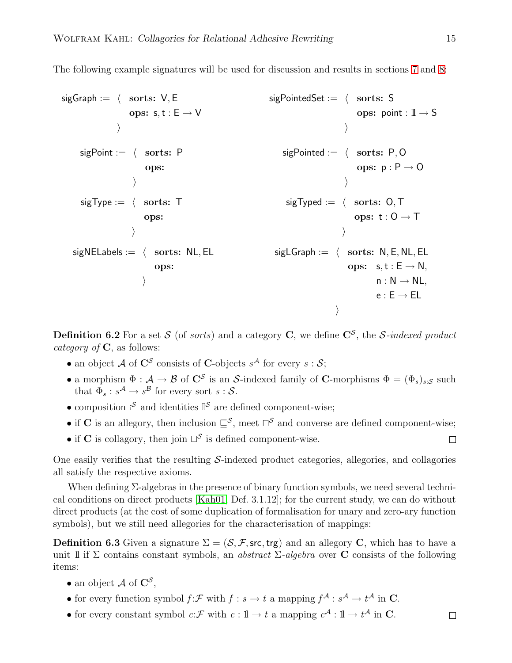The following example signatures will be used for discussion and results in sections [7](#page-19-0) and [8:](#page-20-0)

| $sigGraph := \langle$ sorts: $V, E$    | $sigPointedSet := \langle$ sorts: S        |
|----------------------------------------|--------------------------------------------|
| ops: $s, t : E \rightarrow V$          | ops: point : $1 \rightarrow S$             |
|                                        |                                            |
| $sigPoint := \langle$ sorts: P         | sigPointed := $\langle$ sorts: P, O        |
| ops:                                   | ops: $p : P \rightarrow O$                 |
|                                        |                                            |
| $sigType := \langle$ sorts: T          | $sigTyped := \langle$ sorts: O, T          |
| ops:                                   | ops: $t:0 \rightarrow T$                   |
|                                        |                                            |
| $sigNELabels := \langle$ sorts: NL, EL | $sigLGraph := \langle$ sorts: N, E, NL, EL |
| ops:                                   | ops: $s, t : E \rightarrow N$ ,            |
|                                        | $n: \mathbb{N} \rightarrow \mathbb{N}$ L,  |
|                                        | $e : E \rightarrow EL$                     |
|                                        |                                            |

**Definition 6.2** For a set S (of *sorts*) and a category C, we define  $C^{\mathcal{S}}$ , the S-indexed product *category of*  $C$ , as follows:

- an object A of  $\mathbb{C}^{\mathcal{S}}$  consists of C-objects  $s^{\mathcal{A}}$  for every  $s:\mathcal{S};$
- a morphism  $\Phi: \mathcal{A} \to \mathcal{B}$  of  $\mathbb{C}^{\mathcal{S}}$  is an S-indexed family of C-morphisms  $\Phi = (\Phi_s)_{s:\mathcal{S}}$  such that  $\Phi_s : s^{\mathcal{A}} \to s^{\mathcal{B}}$  for every sort  $s : \mathcal{S}$ .
- composition  $\mathfrak{F}$  and identities  $\mathbb{I}^{\mathcal{S}}$  are defined component-wise;
- if C is an allegory, then inclusion  $\subseteq^{\mathcal{S}}$ , meet  $\sqcap^{\mathcal{S}}$  and converse are defined component-wise;
- if C is collagory, then join  $\sqcup^{\mathcal{S}}$  is defined component-wise.

One easily verifies that the resulting  $S$ -indexed product categories, allegories, and collagories all satisfy the respective axioms.

When defining  $\Sigma$ -algebras in the presence of binary function symbols, we need several technical conditions on direct products [\[Kah01,](#page-23-1) Def. 3.1.12]; for the current study, we can do without direct products (at the cost of some duplication of formalisation for unary and zero-ary function symbols), but we still need allegories for the characterisation of mappings:

**Definition 6.3** Given a signature  $\Sigma = (\mathcal{S}, \mathcal{F}, \mathsf{src}, \mathsf{trg})$  and an allegory C, which has to have a unit 1 if  $\Sigma$  contains constant symbols, an *abstract*  $\Sigma$ -*algebra* over **C** consists of the following items:

- an object  $\mathcal A$  of  $\mathbb C^{\mathcal S}$ ,
- for every function symbol  $f: \mathcal{F}$  with  $f: s \to t$  a mapping  $f^{\mathcal{A}}: s^{\mathcal{A}} \to t^{\mathcal{A}}$  in C.
- for every constant symbol  $c:\mathcal{F}$  with  $c: \mathbb{1} \to t$  a mapping  $c^{\mathcal{A}}: \mathbb{1} \to t^{\mathcal{A}}$  in C.

 $\Box$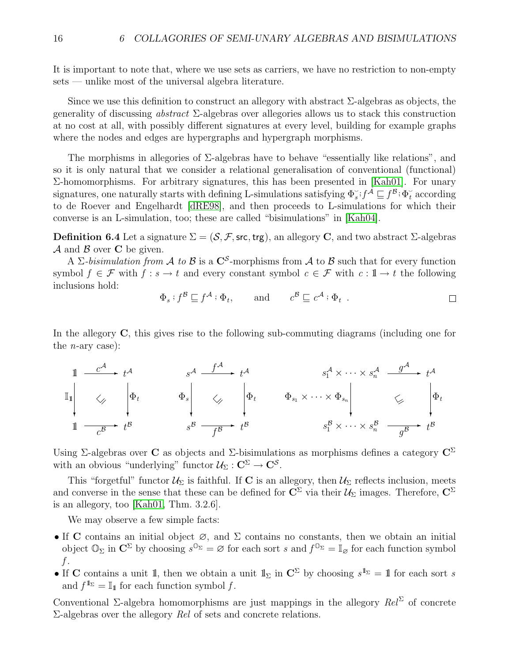It is important to note that, where we use sets as carriers, we have no restriction to non-empty sets — unlike most of the universal algebra literature.

Since we use this definition to construct an allegory with abstract  $\Sigma$ -algebras as objects, the generality of discussing *abstract*  $\Sigma$ -algebras over allegories allows us to stack this construction at no cost at all, with possibly different signatures at every level, building for example graphs where the nodes and edges are hypergraphs and hypergraph morphisms.

The morphisms in allegories of  $\Sigma$ -algebras have to behave "essentially like relations", and so it is only natural that we consider a relational generalisation of conventional (functional) Σ-homomorphisms. For arbitrary signatures, this has been presented in [\[Kah01\]](#page-23-1). For unary signatures, one naturally starts with defining L-simulations satisfying  $\Phi_s^-; f^{\tilde{A}} \sqsubseteq f^{\tilde{B}}; \Phi_t^-$  according to de Roever and Engelhardt [\[dRE98\]](#page-23-11), and then proceeds to L-simulations for which their converse is an L-simulation, too; these are called "bisimulations" in [\[Kah04\]](#page-23-2).

**Definition 6.4** Let a signature  $\Sigma = (\mathcal{S}, \mathcal{F}, \mathsf{src}, \mathsf{trg})$ , an allegory C, and two abstract  $\Sigma$ -algebras  $\mathcal A$  and  $\mathcal B$  over C be given.

A  $\Sigma$ -bisimulation from A to B is a  $\mathbb{C}^{\mathcal{S}}$ -morphisms from A to B such that for every function symbol  $f \in \mathcal{F}$  with  $f : s \to t$  and every constant symbol  $c \in \mathcal{F}$  with  $c : \mathbb{I} \to t$  the following inclusions hold:

$$
\Phi_s
$$
;  $f^{\mathcal{B}} \sqsubseteq f^{\mathcal{A}}$ ;  $\Phi_t$ , and  $c^{\mathcal{B}} \sqsubseteq c^{\mathcal{A}}$ ;  $\Phi_t$ .

In the allegory C, this gives rise to the following sub-commuting diagrams (including one for the *n*-ary case):

$$
\begin{array}{ccccccc}\n1 & \frac{c^{\mathcal{A}}}{\sqrt{1-\frac{1}{c^{3}}}} & t^{\mathcal{A}} & s^{\mathcal{A}} & \frac{f^{\mathcal{A}}}{\sqrt{1-\frac{1}{c^{3}}}} & t^{\mathcal{A}} & s^{\mathcal{A}}_{1} \times \cdots \times s^{\mathcal{A}}_{n} & \frac{g^{\mathcal{A}}}{\sqrt{1-\frac{1}{c^{3}}}} & t^{\mathcal{A}} \\
1 & \sqrt{\frac{1}{c^{3}}} & t^{\mathcal{B}} & s^{\mathcal{B}} & \frac{f^{\mathcal{B}}}{\sqrt{1-\frac{1}{c^{3}}}} & t^{\mathcal{B}} & s^{\mathcal{B}} & \frac{f^{\mathcal{B}}}{\sqrt{1-\frac{1}{c^{3}}}} & t^{\mathcal{B}} & s^{\mathcal{B}}_{1} \times \cdots \times s^{\mathcal{B}}_{n} & \frac{f^{\mathcal{B}}}{\sqrt{1-\frac{1}{c^{3}}}} & t^{\mathcal{B}}\n\end{array}
$$

Using Σ-algebras over C as objects and Σ-bisimulations as morphisms defines a category  $\mathbb{C}^{\Sigma}$ with an obvious "underlying" functor  $\mathcal{U}_{\Sigma}: \mathbb{C}^{\Sigma} \to \mathbb{C}^{\mathcal{S}}$ .

This "forgetful" functor  $\mathcal{U}_{\Sigma}$  is faithful. If **C** is an allegory, then  $\mathcal{U}_{\Sigma}$  reflects inclusion, meets and converse in the sense that these can be defined for  $\mathbb{C}^{\Sigma}$  via their  $\mathcal{U}_{\Sigma}$  images. Therefore,  $\mathbb{C}^{\Sigma}$ is an allegory, too [\[Kah01,](#page-23-1) Thm. 3.2.6].

We may observe a few simple facts:

- If C contains an initial object  $\varnothing$ , and  $\Sigma$  contains no constants, then we obtain an initial object  $\mathbb{O}_{\Sigma}$  in  $\mathbb{C}^{\Sigma}$  by choosing  $s^{\mathbb{O}_{\Sigma}} = \varnothing$  for each sort s and  $f^{\mathbb{O}_{\Sigma}} = \mathbb{I}_{\varnothing}$  for each function symbol  $f$ .
- If C contains a unit 1, then we obtain a unit  $1\!\!1_{\Sigma}$  in  $\mathbb{C}^{\Sigma}$  by choosing  $s^{1\!\!1_{\Sigma}} = 1$  for each sort s and  $f^{\mathbb{1}_{\Sigma}} = \mathbb{I}_{\mathbb{1}}$  for each function symbol f.

Conventional Σ-algebra homomorphisms are just mappings in the allegory  $Rel^{\Sigma}$  of concrete  $\Sigma$ -algebras over the allegory Rel of sets and concrete relations.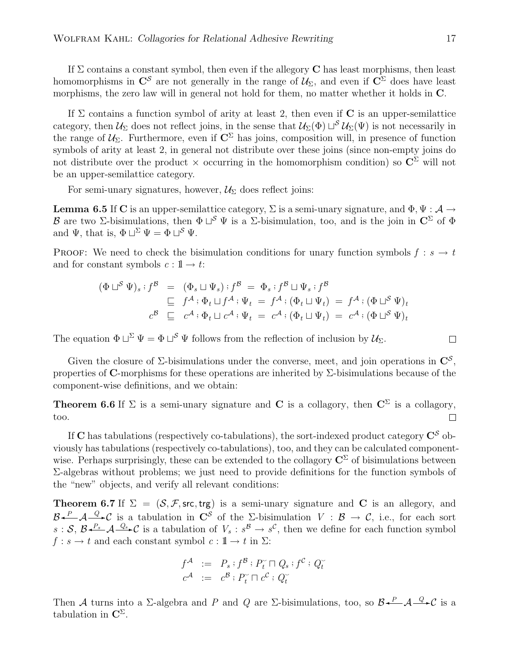If  $\Sigma$  contains a constant symbol, then even if the allegory **C** has least morphisms, then least homomorphisms in  $\mathbb{C}^{\mathcal{S}}$  are not generally in the range of  $\mathcal{U}_{\Sigma}$ , and even if  $\mathbb{C}^{\Sigma}$  does have least morphisms, the zero law will in general not hold for them, no matter whether it holds in C.

If  $\Sigma$  contains a function symbol of arity at least 2, then even if **C** is an upper-semilattice category, then  $\mathcal{U}_{\Sigma}$  does not reflect joins, in the sense that  $\mathcal{U}_{\Sigma}(\Phi) \sqcup^{\mathcal{S}} \mathcal{U}_{\Sigma}(\Psi)$  is not necessarily in the range of  $\mathcal{U}_{\Sigma}$ . Furthermore, even if  $\mathbb{C}^{\Sigma}$  has joins, composition will, in presence of function symbols of arity at least 2, in general not distribute over these joins (since non-empty joins do not distribute over the product  $\times$  occurring in the homomorphism condition) so  $\overline{C}^{\Sigma}$  will not be an upper-semilattice category.

<span id="page-16-1"></span>For semi-unary signatures, however,  $\mathcal{U}_{\Sigma}$  does reflect joins:

**Lemma 6.5** If C is an upper-semilattice category,  $\Sigma$  is a semi-unary signature, and  $\Phi, \Psi : \mathcal{A} \to$ B are two ∑-bisimulations, then  $\Phi \sqcup^S \Psi$  is a ∑-bisimulation, too, and is the join in  $\mathbb{C}^{\Sigma}$  of  $\Phi$ and  $\Psi$ , that is,  $\Phi \sqcup^{\Sigma} \Psi = \Phi \sqcup^{\mathcal{S}} \Psi$ .

PROOF: We need to check the bisimulation conditions for unary function symbols  $f : s \to t$ and for constant symbols  $c: 1 \rightarrow t$ :

$$
(\Phi \sqcup^S \Psi)_s : f^{\mathcal{B}} = (\Phi_s \sqcup \Psi_s) : f^{\mathcal{B}} = \Phi_s : f^{\mathcal{B}} \sqcup \Psi_s : f^{\mathcal{B}}
$$
  
\n
$$
\sqsubseteq f^{\mathcal{A}} : \Phi_t \sqcup f^{\mathcal{A}} : \Psi_t = f^{\mathcal{A}} : (\Phi_t \sqcup \Psi_t) = f^{\mathcal{A}} : (\Phi \sqcup^S \Psi)_t
$$
  
\n
$$
c^{\mathcal{B}} \sqsubseteq c^{\mathcal{A}} : \Phi_t \sqcup c^{\mathcal{A}} : \Psi_t = c^{\mathcal{A}} : (\Phi_t \sqcup \Psi_t) = c^{\mathcal{A}} : (\Phi \sqcup^S \Psi)_t
$$

The equation  $\Phi \sqcup^{\Sigma} \Psi = \Phi \sqcup^{\mathcal{S}} \Psi$  follows from the reflection of inclusion by  $\mathcal{U}_{\Sigma}$ .

Given the closure of  $\Sigma$ -bisimulations under the converse, meet, and join operations in  $\mathbb{C}^{\mathcal{S}}$ , properties of C-morphisms for these operations are inherited by  $\Sigma$ -bisimulations because of the component-wise definitions, and we obtain:

<span id="page-16-0"></span>**Theorem 6.6** If  $\Sigma$  is a semi-unary signature and **C** is a collagory, then  $\mathbb{C}^{\Sigma}$  is a collagory, too.  $\Box$ 

If C has tabulations (respectively co-tabulations), the sort-indexed product category  $\mathbb{C}^{\mathcal{S}}$  obviously has tabulations (respectively co-tabulations), too, and they can be calculated componentwise. Perhaps surprisingly, these can be extended to the collagory  $\mathbb{C}^{\Sigma}$  of bisimulations between Σ-algebras without problems; we just need to provide definitions for the function symbols of the "new" objects, and verify all relevant conditions:

**Theorem 6.7** If  $\Sigma = (\mathcal{S}, \mathcal{F}, \text{src}, \text{trg})$  is a semi-unary signature and C is an allegory, and  $\mathcal{B}\leftarrow P$   $\mathcal{A}\leftarrow Q\leftarrow C$  is a tabulation in  $C^{\mathcal{S}}$  of the  $\Sigma$ -bisimulation  $V: \mathcal{B} \to \mathcal{C}$ , i.e., for each sort  $s: \mathcal{S}, \mathcal{B} \stackrel{P_s}{\longrightarrow} \mathcal{A} \stackrel{Q_s}{\longrightarrow} \mathcal{C}$  is a tabulation of  $V_s : s^{\mathcal{B}} \to s^{\mathcal{C}}$ , then we define for each function symbol  $f : s \to t$  and each constant symbol  $c : \mathbb{1} \to t$  in  $\Sigma$ :

$$
f^{\mathcal{A}} := P_s : f^{\mathcal{B}} : P_t^{\sim} \cap Q_s : f^{\mathcal{C}} : Q_t^{\sim}
$$
  

$$
c^{\mathcal{A}} := c^{\mathcal{B}} : P_t^{\sim} \cap c^{\mathcal{C}} : Q_t^{\sim}
$$

Then A turns into a  $\Sigma$ -algebra and P and Q are  $\Sigma$ -bisimulations, too, so  $\mathcal{B} \stackrel{P}{\longleftarrow} \mathcal{A} \stackrel{Q}{\longrightarrow} \mathcal{C}$  is a tabulation in  $\mathbb{C}^{\Sigma}$ .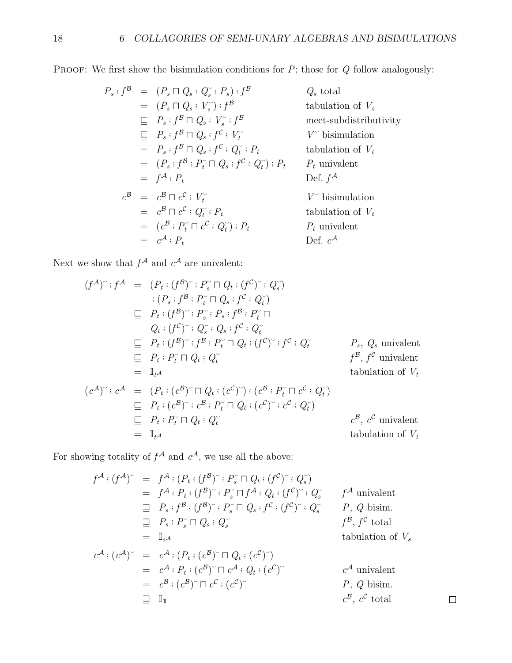PROOF: We first show the bisimulation conditions for  $P$ ; those for  $Q$  follow analogously:

$$
P_s: f^{\mathcal{B}} = (P_s \sqcap Q_s : Q_s^{\smile}; P_s) : f^{\mathcal{B}} \qquad Q_s \text{ total}
$$
  
\n
$$
= (P_s \sqcap Q_s : V_s^{\smile}) : f^{\mathcal{B}} \qquad \text{tabulation of } V_s
$$
  
\n
$$
\sqsubseteq P_s : f^{\mathcal{B}} \sqcap Q_s : V_s^{\smile}; f^{\mathcal{B}} \qquad \text{meet-subdistributivity}
$$
  
\n
$$
\sqsubseteq P_s : f^{\mathcal{B}} \sqcap Q_s : f^{\mathcal{C}} : V_t^{\smile} \qquad V^{\smile} \text{ bisimulation}
$$
  
\n
$$
= P_s : f^{\mathcal{B}} \sqcap Q_s : f^{\mathcal{C}} : Q_t^{\smile}; P_t \qquad \text{tabulation of } V_t
$$
  
\n
$$
= (P_s : f^{\mathcal{B}} : P_t^{\smile} \sqcap Q_s : f^{\mathcal{C}} : Q_t^{\smile}); P_t \qquad P_t \text{ univalent}
$$
  
\n
$$
= f^{\mathcal{A}} : P_t \qquad \text{Def. } f^{\mathcal{A}}
$$
  
\n
$$
c^{\mathcal{B}} = c^{\mathcal{B}} \sqcap c^{\mathcal{C}} : V_t^{\smile} \qquad \text{V}^{\smile} \text{ bisimulation of } V_t
$$
  
\n
$$
= c^{\mathcal{B}} \sqcap c^{\mathcal{C}} : Q_t^{\smile}; P_t \qquad \text{tabulation of } V_t
$$
  
\n
$$
= (c^{\mathcal{B}} : P_t^{\smile} \sqcap c^{\mathcal{C}} : Q_t^{\smile}); P_t \qquad \text{P}_t \text{ univalent}
$$
  
\n
$$
= c^{\mathcal{A}} : P_t \qquad \text{Def. } c^{\mathcal{A}}
$$

Next we show that  $f^{\mathcal{A}}$  and  $c^{\mathcal{A}}$  are univalent:

$$
(f^{A})^{\sim} : f^{A} = (P_{t} : (f^{B})^{\sim} : P_{s}^{\sim} \sqcap Q_{t} : (f^{C})^{\sim} : Q_{s}^{\sim})
$$
  
\n
$$
: (P_{s} : f^{B} : P_{t}^{\sim} \sqcap Q_{s} : f^{C} : Q_{t}^{\sim})
$$
  
\n
$$
\sqsubseteq P_{t} : (f^{B})^{\sim} : P_{s}^{\sim} : P_{s} : f^{B} : P_{t}^{\sim} \sqcap
$$
  
\n
$$
Q_{t} : (f^{C})^{\sim} : Q_{s}^{\sim} : Q_{s} : f^{C} : Q_{t}^{\sim}
$$
  
\n
$$
\sqsubseteq P_{t} : (f^{B})^{\sim} : f^{B} : P_{t}^{\sim} \sqcap Q_{t} : (f^{C})^{\sim} : f^{C} : Q_{t}^{\sim}
$$
  
\n
$$
\sqsubseteq P_{t} : P_{t}^{\sim} \sqcap Q_{t} : Q_{t}^{\sim}
$$
  
\n
$$
= \mathbb{I}_{t}A
$$
  
\n
$$
(c^{A})^{\sim} : c^{A} = (P_{t} : (c^{B})^{\sim} \sqcap Q_{t} : (c^{C})^{\sim}) : (c^{B} : P_{t}^{\sim} \sqcap c^{C} : Q_{t}^{\sim})
$$
  
\n
$$
\sqsubseteq P_{t} : (c^{B})^{\sim} : c^{B} : P_{t}^{\sim} \sqcap Q_{t} : (c^{C})^{\sim} : c^{C} : Q_{t}^{\sim})
$$
  
\n
$$
\sqsubseteq P_{t} : P_{t}^{\sim} \sqcap Q_{t} : Q_{t}^{\sim}
$$
  
\n
$$
= \mathbb{I}_{t}A
$$
  
\n
$$
= \mathbb{I}_{t}A
$$
  
\n
$$
= \mathbb{I}_{t}A
$$
  
\n
$$
= \mathbb{I}_{t}A
$$
  
\n
$$
= \mathbb{I}_{t}A
$$
  
\n
$$
= \mathbb{I}_{t}A
$$
  
\n
$$
= \mathbb{I}_{t}A
$$
  
\n
$$
= \mathbb{I}_{t}A
$$
  
\n
$$
= \
$$

For showing totality of  $f^{\mathcal{A}}$  and  $c^{\mathcal{A}}$ , we use all the above:

$$
f^{A} : (f^{A})^{\sim} = f^{A} : (P_{t} : (f^{B})^{\sim} : P_{s}^{\sim} \sqcap Q_{t} : (f^{C})^{\sim} : Q_{s}^{\sim})
$$
  
\n
$$
= f^{A} : P_{t} : (f^{B})^{\sim} : P_{s}^{\sim} \sqcap f^{A} : Q_{t} : (f^{C})^{\sim} : Q_{s}^{\sim} f^{A} \text{ univalent}
$$
  
\n
$$
\equiv P_{s} : f^{B} : (f^{B})^{\sim} : P_{s}^{\sim} \sqcap Q_{s} : f^{C} : (f^{C})^{\sim} : Q_{s}^{\sim} P, Q \text{ bism.}
$$
  
\n
$$
\equiv P_{s} : P_{s}^{\sim} \sqcap Q_{s} : Q_{s}^{\sim} f^{B}, f^{C} \text{ total}
$$
  
\n
$$
= \mathbb{I}_{s^{A}}
$$
  
\n
$$
c^{A} : (c^{A})^{\sim} = c^{A} : (P_{t} : (c^{B})^{\sim} \sqcap Q_{t} : (c^{C})^{\sim})
$$
  
\n
$$
= c^{A} : P_{t} : (c^{B})^{\sim} \sqcap c^{A} : Q_{t} : (c^{C})^{\sim}
$$
  
\n
$$
= c^{B} : (c^{B})^{\sim} \sqcap c^{C} : (c^{C})^{\sim} P, Q \text{ bism.}
$$
  
\n
$$
\equiv \mathbb{I}_{\mathbb{I}} f^{B} : Q^{B} \text{ total}
$$
  
\n
$$
= \mathbb{I}_{\mathbb{I}} f^{B} : Q^{B} \text{ total}
$$
  
\n
$$
= \mathbb{I}_{\mathbb{I}} f^{B} : Q^{B} \text{ total}
$$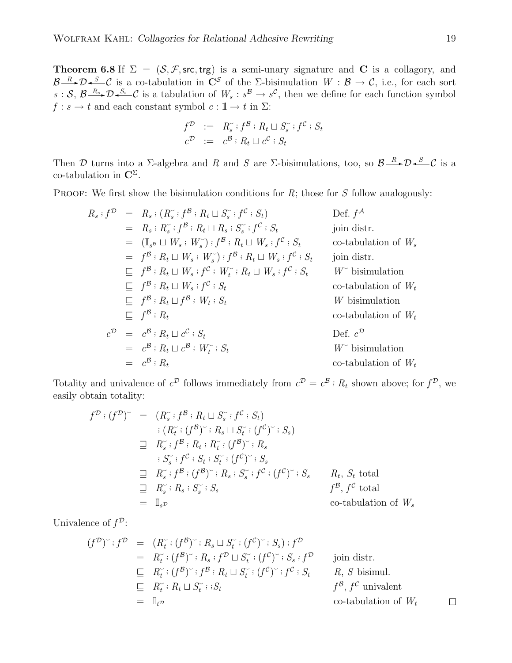**Theorem 6.8** If  $\Sigma = (\mathcal{S}, \mathcal{F}, \text{src}, \text{trg})$  is a semi-unary signature and C is a collagory, and  $B \rightarrow \infty$   $\rightarrow \infty$  is a co-tabulation in  $\mathbb{C}^{\mathcal{S}}$  of the  $\Sigma$ -bisimulation  $W : \mathcal{B} \rightarrow \mathcal{C}$ , i.e., for each sort  $s: \mathcal{S}, \mathcal{B} \longrightarrow \mathcal{D} \longrightarrow \mathcal{S}$  is a tabulation of  $W_s: s^{\mathcal{B}} \longrightarrow s^{\mathcal{C}}$ , then we define for each function symbol  $f : s \to t$  and each constant symbol  $c : \mathbb{I} \to t$  in  $\Sigma$ :

$$
\begin{array}{rcl}\nf^{\mathcal{D}} & := & R_s^{\sim} : f^{\mathcal{B}} : R_t \sqcup S_s^{\sim} : f^{\mathcal{C}} : S_t \\
c^{\mathcal{D}} & := & c^{\mathcal{B}} : R_t \sqcup c^{\mathcal{C}} : S_t\n\end{array}
$$

Then D turns into a  $\Sigma$ -algebra and R and S are  $\Sigma$ -bisimulations, too, so  $\mathcal{B}\longrightarrow\mathcal{D}\longrightarrow\mathcal{S}\longrightarrow\mathcal{C}$  is a co-tabulation in  $\mathbb{C}^{\Sigma}$ .

PROOF: We first show the bisimulation conditions for  $R$ ; those for  $S$  follow analogously:

$$
R_s : f^{\mathcal{D}} = R_s : (R_s^{\sim} : f^{\mathcal{B}} : R_t \sqcup S_s^{\sim} : f^{\mathcal{C}} : S_t) \qquad \text{Def. } f^{\mathcal{A}}
$$
\n
$$
= R_s : R_s^{\sim} : f^{\mathcal{B}} : R_t \sqcup R_s : S_s^{\sim} : f^{\mathcal{C}} : S_t \qquad \text{join distr.}
$$
\n
$$
= (\mathbb{I}_{s^{\mathcal{B}}} \sqcup W_s : W_s^{\sim}) : f^{\mathcal{B}} : R_t \sqcup W_s : f^{\mathcal{C}} : S_t \qquad \text{co-tabulation of } W_s
$$
\n
$$
= f^{\mathcal{B}} : R_t \sqcup W_s : W_s^{\sim}) : f^{\mathcal{B}} : R_t \sqcup W_s : f^{\mathcal{C}} : S_t \qquad \text{Join distr.}
$$
\n
$$
\sqsubseteq f^{\mathcal{B}} : R_t \sqcup W_s : f^{\mathcal{C}} : W_t^{\sim} : R_t \sqcup W_s : f^{\mathcal{C}} : S_t \qquad \text{for bisimulation}
$$
\n
$$
\sqsubseteq f^{\mathcal{B}} : R_t \sqcup f^{\mathcal{B}} : W_t : S_t \qquad \text{co-tabulation of } W_t
$$
\n
$$
\sqsubseteq f^{\mathcal{B}} : R_t \sqcup f^{\mathcal{B}} : W_t : S_t \qquad \text{for bisimulation}
$$
\n
$$
c^{\mathcal{D}} = c^{\mathcal{B}} : R_t \sqcup c^{\mathcal{C}} : S_t \qquad \text{Def. } c^{\mathcal{D}}
$$
\n
$$
= c^{\mathcal{B}} : R_t \sqcup c^{\mathcal{B}} : W_t^{\sim} : S_t \qquad \text{Def. } c^{\mathcal{D}}
$$
\n
$$
= c^{\mathcal{B}} : R_t \sqcup c^{\mathcal{B}} : W_t^{\sim} : S_t \qquad \text{for tabil}
$$

Totality and univalence of  $c^{\mathcal{D}}$  follows immediately from  $c^{\mathcal{D}} = c^{\mathcal{B}} : R_t$  shown above; for  $f^{\mathcal{D}}$ , we easily obtain totality:

$$
f^{D} : (f^{D})^{\sim} = (R_{s}^{\sim} : f^{B} : R_{t} \sqcup S_{s}^{\sim} : f^{C} : S_{t})
$$
  
\n
$$
: (R_{t}^{\sim} : (f^{B})^{\sim} : R_{s} \sqcup S_{t}^{\sim} : (f^{C})^{\sim} : S_{s})
$$
  
\n
$$
\sqsupseteq R_{s}^{\sim} : f^{B} : R_{t} : R_{t}^{\sim} : (f^{B})^{\sim} : R_{s}
$$
  
\n
$$
: S_{s}^{\sim} : f^{C} : S_{t} : S_{t}^{\sim} : (f^{C})^{\sim} : S_{s}
$$
  
\n
$$
\sqsupseteq R_{s}^{\sim} : R_{s} : S_{s}^{\sim} : S_{s}
$$
  
\n
$$
= I_{s}^{\sim} \text{no-tabulation of } W_{s}
$$

Univalence of  $f^{\mathcal{D}}$ :

$$
(f^{\mathcal{D}})^{\sim} : f^{\mathcal{D}} = (R_t^{\sim} : (f^{\mathcal{B}})^{\sim} : R_s \sqcup S_t^{\sim} : (f^{\mathcal{C}})^{\sim} : S_s) : f^{\mathcal{D}}
$$
  
\n
$$
= R_t^{\sim} : (f^{\mathcal{B}})^{\sim} : R_s : f^{\mathcal{D}} \sqcup S_t^{\sim} : (f^{\mathcal{C}})^{\sim} : S_s : f^{\mathcal{D}}
$$
 join distr.  
\n
$$
\subseteq R_t^{\sim} : (f^{\mathcal{B}})^{\sim} : f^{\mathcal{B}} : R_t \sqcup S_t^{\sim} : (f^{\mathcal{C}})^{\sim} : f^{\mathcal{C}} : S_t \qquad R, S \text{ bisimul.}
$$
  
\n
$$
\subseteq R_t^{\sim} : R_t \sqcup S_t^{\sim} : S_t \qquad f^{\mathcal{B}}, f^{\mathcal{C}} \text{ univalent}
$$
  
\n
$$
= \mathbb{I}_{t^{\mathcal{D}}} \qquad \text{co-tabulation of } W_t \qquad \square
$$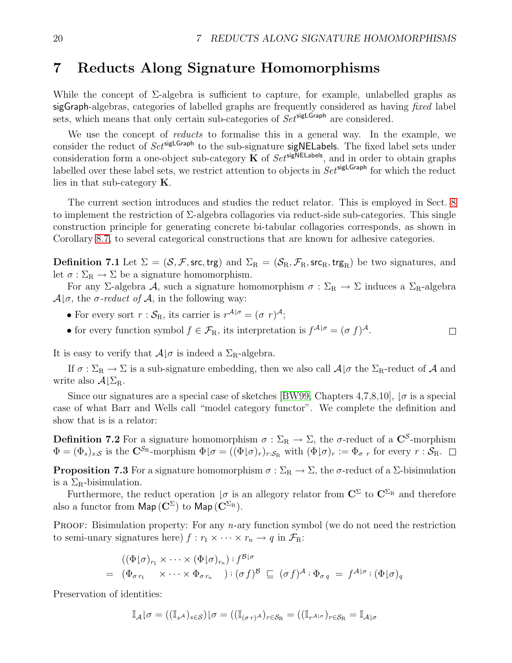$\Box$ 

## <span id="page-19-0"></span>7 Reducts Along Signature Homomorphisms

While the concept of  $\Sigma$ -algebra is sufficient to capture, for example, unlabelled graphs as sigGraph-algebras, categories of labelled graphs are frequently considered as having fixed label sets, which means that only certain sub-categories of  $Set^{\text{sigLGraph}}$  are considered.

We use the concept of *reducts* to formalise this in a general way. In the example, we consider the reduct of  $Set^{\text{sigLGraph}}$  to the sub-signature sigNELabels. The fixed label sets under consideration form a one-object sub-category  $\breve{\mathbf{K}}$  of  $Set^{\text{sigNELabels}}$ , and in order to obtain graphs labelled over these label sets, we restrict attention to objects in  $Set^{\mathsf{sigLGraph}}$  for which the reduct lies in that sub-category K.

The current section introduces and studies the reduct relator. This is employed in Sect. [8](#page-20-0) to implement the restriction of Σ-algebra collagories via reduct-side sub-categories. This single construction principle for generating concrete bi-tabular collagories corresponds, as shown in Corollary [8.7,](#page-22-1) to several categorical constructions that are known for adhesive categories.

**Definition 7.1** Let  $\Sigma = (\mathcal{S}, \mathcal{F}, \mathsf{src}, \mathsf{trg})$  and  $\Sigma_R = (\mathcal{S}_R, \mathcal{F}_R, \mathsf{src}_R, \mathsf{trg}_R)$  be two signatures, and let  $\sigma : \Sigma_R \to \Sigma$  be a signature homomorphism.

For any Σ-algebra A, such a signature homomorphism  $\sigma : \Sigma_R \to \Sigma$  induces a  $\Sigma_R$ -algebra  $\mathcal{A} \times \sigma$ , the  $\sigma$ -reduct of  $\mathcal{A}$ , in the following way:

- For every sort  $r : S_{R}$ , its carrier is  $r^{\mathcal{A}|\sigma} = (\sigma r)^{\mathcal{A}};$
- for every function symbol  $f \in \mathcal{F}_{R}$ , its interpretation is  $f^{\mathcal{A}|\sigma} = (\sigma f)^{\mathcal{A}}$ .

It is easy to verify that  $A|\sigma$  is indeed a  $\Sigma_R$ -algebra.

If  $\sigma : \Sigma_R \to \Sigma$  is a sub-signature embedding, then we also call  $\mathcal{A} | \sigma$  the  $\Sigma_R$ -reduct of  $\mathcal{A}$  and write also  $\mathcal{A} \Sigma_{\rm R}$ .

Since our signatures are a special case of sketches [\[BW99,](#page-23-12) Chapters 4,7,8,10],  $\sigma$  is a special case of what Barr and Wells call "model category functor". We complete the definition and show that is is a relator:

**Definition 7.2** For a signature homomorphism  $\sigma : \Sigma_R \to \Sigma$ , the  $\sigma$ -reduct of a  $\mathbb{C}^S$ -morphism  $\Phi = (\Phi_s)_{s:\mathcal{S}}$  is the  $\mathbf{C}^{\mathcal{S}_{\text{R}}}$ -morphism  $\Phi | \sigma = ((\Phi | \sigma)_r)_{r:\mathcal{S}_{\text{R}}}$  with  $(\Phi | \sigma)_r := \Phi_{\sigma r}$  for every  $r:\mathcal{S}_{\text{R}}$ .

**Proposition 7.3** For a signature homomorphism  $\sigma : \Sigma_R \to \Sigma$ , the  $\sigma$ -reduct of a  $\Sigma$ -bisimulation is a  $\Sigma_{\rm R}$ -bisimulation.

Furthermore, the reduct operation  $\sigma$  is an allegory relator from  $\mathbb{C}^{\Sigma}$  to  $\mathbb{C}^{\Sigma_{\mathrm{R}}}$  and therefore also a functor from  $\mathsf{Map}(\mathbf{C}^{\Sigma})$  to  $\mathsf{Map}(\mathbf{C}^{\Sigma_{\mathrm{R}}})$ .

PROOF: Bisimulation property: For any  $n$ -ary function symbol (we do not need the restriction to semi-unary signatures here)  $f : r_1 \times \cdots \times r_n \to q$  in  $\mathcal{F}_{\mathbb{R}}$ :

$$
((\Phi|\sigma)_{r_1} \times \cdots \times (\Phi|\sigma)_{r_n}) : f^{\mathcal{B}|\sigma}
$$
  
=  $(\Phi_{\sigma r_1} \times \cdots \times \Phi_{\sigma r_n}) : (\sigma f)^{\mathcal{B}} \subseteq (\sigma f)^{\mathcal{A}} : \Phi_{\sigma q} = f^{\mathcal{A}|\sigma} : (\Phi|\sigma)_{q}$ 

Preservation of identities:

$$
\mathbb{I}_{\mathcal{A}}|\sigma = ((\mathbb{I}_{s^{\mathcal{A}}})_{s\in\mathcal{S}})|\sigma = ((\mathbb{I}_{(\sigma\,r)^{\mathcal{A}}})_{r\in\mathcal{S}_{\mathrm{R}}} = ((\mathbb{I}_{r^{\mathcal{A}|\sigma}})_{r\in\mathcal{S}_{\mathrm{R}}} = \mathbb{I}_{\mathcal{A}|\sigma})
$$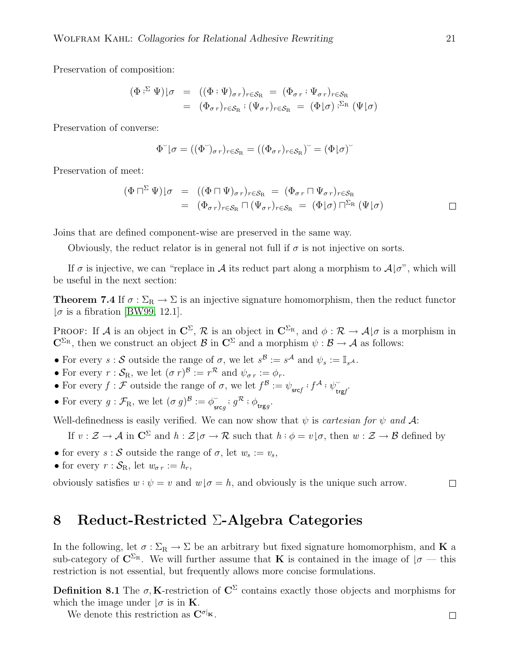Preservation of composition:

$$
\begin{array}{rcl}\n(\Phi \cdot^{\Sigma} \Psi)|\sigma & = & ((\Phi \cdot \Psi)_{\sigma r})_{r \in \mathcal{S}_{R}} = (\Phi_{\sigma r} \cdot \Psi_{\sigma r})_{r \in \mathcal{S}_{R}} \\
 & = & (\Phi_{\sigma r})_{r \in \mathcal{S}_{R}} \cdot (\Psi_{\sigma r})_{r \in \mathcal{S}_{R}} = (\Phi | \sigma) \cdot^{\Sigma_{R}} (\Psi | \sigma)\n\end{array}
$$

Preservation of converse:

$$
\Phi^{\check{}}(\sigma = ((\Phi^{\check{}})_{\sigma r})_{r \in \mathcal{S}_{R}} = ((\Phi_{\sigma r})_{r \in \mathcal{S}_{R}})^{\check{}} = (\Phi | \sigma)^{\check{}}
$$

Preservation of meet:

$$
\begin{array}{rcl}\n(\Phi \sqcap^{\Sigma} \Psi)|\sigma & = & ((\Phi \sqcap \Psi)_{\sigma r})_{r \in \mathcal{S}_{R}} \\
 & = & (\Phi_{\sigma r})_{r \in \mathcal{S}_{R}} \sqcap (\Psi_{\sigma r})_{r \in \mathcal{S}_{R}} \\
 & = & (\Phi_{\sigma r})_{r \in \mathcal{S}_{R}} \sqcap (\Psi_{\sigma r})_{r \in \mathcal{S}_{R}} \\
 & = & (\Phi | \sigma) \sqcap^{\Sigma_{R}} (\Psi | \sigma)\n\end{array} \qquad \qquad \Box
$$

Joins that are defined component-wise are preserved in the same way.

Obviously, the reduct relator is in general not full if  $\sigma$  is not injective on sorts.

<span id="page-20-1"></span>If  $\sigma$  is injective, we can "replace in A its reduct part along a morphism to  $\mathcal{A}|\sigma$ ", which will be useful in the next section:

**Theorem 7.4** If  $\sigma : \Sigma_R \to \Sigma$  is an injective signature homomorphism, then the reduct functor  $\sigma$  is a fibration [\[BW99,](#page-23-12) 12.1].

PROOF: If A is an object in  $\mathbb{C}^{\Sigma}$ ,  $\mathcal{R}$  is an object in  $\mathbb{C}^{\Sigma_{\mathrm{R}}}$ , and  $\phi : \mathcal{R} \to \mathcal{A} \cup \sigma$  is a morphism in  $\mathbf{C}^{\Sigma_{\mathbf{R}}}$ , then we construct an object  $\mathcal{B}$  in  $\mathbf{C}^{\Sigma}$  and a morphism  $\psi : \mathcal{B} \to \mathcal{A}$  as follows:

- For every  $s : S$  outside the range of  $\sigma$ , we let  $s^{\mathcal{B}} := s^{\mathcal{A}}$  and  $\psi_s := \mathbb{I}_{s^{\mathcal{A}}}$ .
- For every  $r : S_{\mathbb{R}}$ , we let  $(\sigma r)^{\mathcal{B}} := r^{\mathcal{R}}$  and  $\psi_{\sigma r} := \phi_r$ .
- For every  $f: \mathcal{F}$  outside the range of  $\sigma$ , we let  $f^B := \psi_{\mathsf{src} f} : f^A : \psi_{\mathsf{tr}}^{\mathsf{tr}}$  $\check{\mathrm{trg}f}$  .
- For every  $g : \mathcal{F}_{R}$ , we let  $(\sigma g)^{\mathcal{B}} := \phi$ , srcg ;  $g^{\mathcal{R}}$  ;  $\phi_{\text{trg}g}$ .

Well-definedness is easily verified. We can now show that  $\psi$  is *cartesian for*  $\psi$  and A:

If  $v : \mathcal{Z} \to \mathcal{A}$  in  $\mathbb{C}^{\Sigma}$  and  $h : \mathcal{Z} \downarrow \sigma \to \mathcal{R}$  such that  $h : \phi = v \downarrow \sigma$ , then  $w : \mathcal{Z} \to \mathcal{B}$  defined by

- for every  $s : \mathcal{S}$  outside the range of  $\sigma$ , let  $w_s := v_s$ ,
- for every  $r : \mathcal{S}_{R}$ , let  $w_{\sigma r} := h_{r}$ ,

obviously satisfies  $w: \psi = v$  and  $w | \sigma = h$ , and obviously is the unique such arrow.  $\Box$ 

### <span id="page-20-0"></span>8 Reduct-Restricted Σ-Algebra Categories

In the following, let  $\sigma : \Sigma_R \to \Sigma$  be an arbitrary but fixed signature homomorphism, and **K** a sub-category of  $\mathbb{C}^{\Sigma_{\rm R}}$ . We will further assume that **K** is contained in the image of  $\mathcal{I}\sigma$  — this restriction is not essential, but frequently allows more concise formulations.

Definition 8.1 The  $\sigma$ , K-restriction of  $\mathbb{C}^{\Sigma}$  contains exactly those objects and morphisms for which the image under  $\sigma$  is in **K**.

We denote this restriction as  $\mathbf{C}^{\sigma|_{\mathbf{K}}}$ .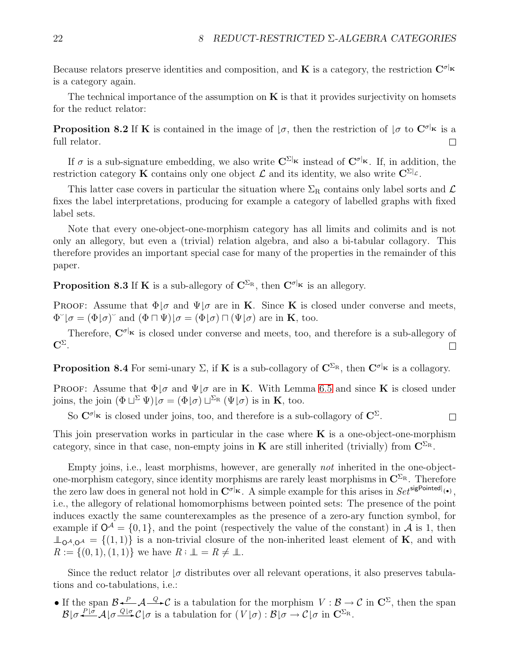Because relators preserve identities and composition, and **K** is a category, the restriction  $\mathbf{C}^{\sigma|\mathbf{k}}$ is a category again.

The technical importance of the assumption on  $\bf{K}$  is that it provides surjectivity on homsets for the reduct relator:

**Proposition 8.2** If K is contained in the image of  $\sigma$ , then the restriction of  $\sigma$  to  $\mathbf{C}^{\sigma|_{\mathbf{K}}}$  is a full relator.  $\Box$ 

If  $\sigma$  is a sub-signature embedding, we also write  $\mathbb{C}^{\Sigma_{\mathbf{k}}}$  instead of  $\mathbb{C}^{\sigma_{\mathbf{k}}}$ . If, in addition, the restriction category K contains only one object  $\mathcal L$  and its identity, we also write  $\mathbf{C}^{\Sigma}|\mathcal L$ .

This latter case covers in particular the situation where  $\Sigma_R$  contains only label sorts and  $\mathcal L$ fixes the label interpretations, producing for example a category of labelled graphs with fixed label sets.

Note that every one-object-one-morphism category has all limits and colimits and is not only an allegory, but even a (trivial) relation algebra, and also a bi-tabular collagory. This therefore provides an important special case for many of the properties in the remainder of this paper.

**Proposition 8.3** If **K** is a sub-allegory of  $C^{\Sigma_R}$ , then  $C^{\sigma|_K}$  is an allegory.

PROOF: Assume that  $\Phi | \sigma$  and  $\Psi | \sigma$  are in **K**. Since **K** is closed under converse and meets,  $\Phi^{\sim}|\sigma = (\Phi|\sigma)^{\sim}$  and  $(\Phi \sqcap \Psi)|\sigma = (\Phi|\sigma) \sqcap (\Psi|\sigma)$  are in **K**, too.

Therefore,  $C^{\sigma|_K}$  is closed under converse and meets, too, and therefore is a sub-allegory of  $\mathbf{C}^{\Sigma}$ .  $\Box$ 

**Proposition 8.4** For semi-unary  $\Sigma$ , if **K** is a sub-collagory of  $\mathbb{C}^{\Sigma_{\mathrm{R}}}$ , then  $\mathbb{C}^{\sigma|_{\mathbf{K}}}$  is a collagory.

PROOF: Assume that  $\Phi | \sigma$  and  $\Psi | \sigma$  are in **K**. With Lemma [6.5](#page-16-1) and since **K** is closed under joins, the join  $(\Phi \sqcup^{\Sigma} \Psi)|\sigma = (\Phi | \sigma) \sqcup^{\Sigma_{R}} (\Psi | \sigma)$  is in **K**, too.

So  $C^{\sigma|_K}$  is closed under joins, too, and therefore is a sub-collagory of  $C^{\Sigma}$ .  $\Box$ 

This join preservation works in particular in the case where  $\bf{K}$  is a one-object-one-morphism category, since in that case, non-empty joins in **K** are still inherited (trivially) from  $\mathbf{C}^{\Sigma_{\mathrm{R}}}$ .

Empty joins, i.e., least morphisms, however, are generally not inherited in the one-objectone-morphism category, since identity morphisms are rarely least morphisms in  $\mathbb{C}^{\Sigma_{\mathbb{R}}}$ . Therefore the zero law does in general not hold in  $\mathbf{C}^{\sigma|_{\mathbf{K}}}$ . A simple example for this arises in  $Set^{signonited|_{\{\bullet\}}},$ i.e., the allegory of relational homomorphisms between pointed sets: The presence of the point induces exactly the same counterexamples as the presence of a zero-ary function symbol, for example if  $\mathsf{O}^{\mathcal{A}} = \{0,1\}$ , and the point (respectively the value of the constant) in  $\mathcal{A}$  is 1, then  $\perp_{\Omega^A \Omega^A} = \{(1,1)\}\$ is a non-trivial closure of the non-inherited least element of **K**, and with  $R := \{(0,1), (1,1)\}\$  we have  $R : \perp \!\!\!\! \perp = R \neq \perp \!\!\!\! \perp$ .

Since the reduct relator  $\sigma$  distributes over all relevant operations, it also preserves tabulations and co-tabulations, i.e.:

• If the span  $\mathcal{B} \stackrel{P}{\leftarrow} \mathcal{A} \stackrel{Q}{\longrightarrow} \mathcal{C}$  is a tabulation for the morphism  $V : \mathcal{B} \to \mathcal{C}$  in  $\mathbb{C}^{\Sigma}$ , then the span  $\mathcal{B}|\sigma \stackrel{P|\sigma}{\longleftarrow} \mathcal{A}|\sigma \stackrel{Q|\sigma}{\longleftarrow} \mathcal{C}|\sigma$  is a tabulation for  $(V|\sigma):\mathcal{B}|\sigma \rightarrow \mathcal{C}|\sigma$  in  $\mathbb{C}^{\Sigma_{\mathrm{R}}}.$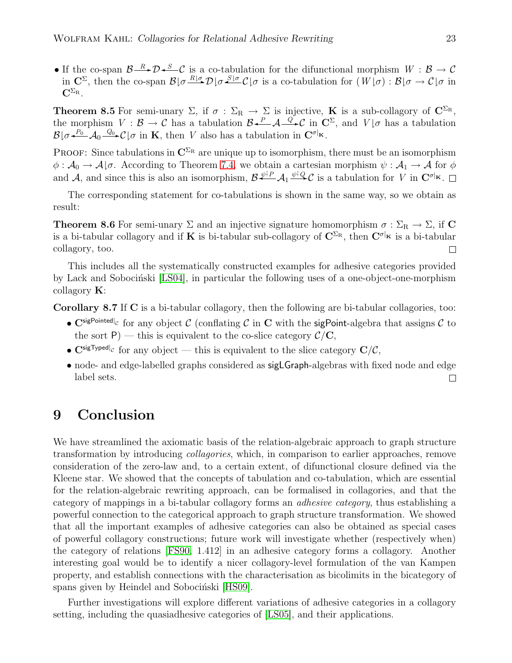• If the co-span  $\mathcal{B}\longrightarrow\mathcal{D}\longrightarrow\mathcal{C}$  is a co-tabulation for the difunctional morphism  $W:\mathcal{B}\to\mathcal{C}$ in  $\mathbb{C}^{\Sigma}$ , then the co-span  $\mathcal{B}|\sigma \stackrel{R|\sigma}{\longrightarrow} \mathcal{D}|\sigma \stackrel{S|\sigma}{\longrightarrow} C|\sigma$  is a co-tabulation for  $(W|\sigma) : \mathcal{B}|\sigma \to \mathcal{C}|\sigma$  in  $\mathbf{C}^{\Sigma_{\mathrm{R}}}.$ 

**Theorem 8.5** For semi-unary  $\Sigma$ , if  $\sigma : \Sigma_R \to \Sigma$  is injective, **K** is a sub-collagory of  $\mathbb{C}^{\Sigma_R}$ , the morphism  $V : \mathcal{B} \to \mathcal{C}$  has a tabulation  $\mathcal{B} \leftarrow \mathcal{A} \leftarrow \mathcal{C}$  in  $\mathbb{C}^{\Sigma}$ , and  $V | \sigma$  has a tabulation  $\mathcal{B}|\sigma \stackrel{P_0}{\leftarrow} \mathcal{A}_0 \stackrel{Q_0}{\leftarrow} \mathcal{C}|\sigma$  in **K**, then *V* also has a tabulation in  $\mathbf{C}^{\sigma|\mathbf{k}}$ .

PROOF: Since tabulations in  $\mathbb{C}^{\Sigma_{\mathrm{R}}}$  are unique up to isomorphism, there must be an isomorphism  $\phi: \mathcal{A}_0 \to \mathcal{A} \mid \sigma$ . According to Theorem [7.4,](#page-20-1) we obtain a cartesian morphism  $\psi: \mathcal{A}_1 \to \mathcal{A}$  for  $\phi$  $\beta \leftrightarrow \alpha_0$   $\rightarrow \alpha_1 \rightarrow \alpha$  for the set of the set of the set of the set of and  $\beta \leftrightarrow \beta_1 \rightarrow \beta_2$  and  $\beta$ , and since this is also an isomorphism,  $\beta \leftrightarrow \beta_1 \rightarrow \beta_2$  is a tabulation for V in  $C^{\sigma|_{\mathbf{k}}}$ .

The corresponding statement for co-tabulations is shown in the same way, so we obtain as result:

**Theorem 8.6** For semi-unary  $\Sigma$  and an injective signature homomorphism  $\sigma : \Sigma_R \to \Sigma$ , if C is a bi-tabular collagory and if K is bi-tabular sub-collagory of  $\mathbf{C}^{\Sigma_{\mathbf{R}}}$ , then  $\mathbf{C}^{\sigma|_{\mathbf{K}}}$  is a bi-tabular collagory, too.  $\Box$ 

This includes all the systematically constructed examples for adhesive categories provided by Lack and Sobocinski [\[LS04\]](#page-23-5), in particular the following uses of a one-object-one-morphism collagory  $\mathbf{K}$ :

<span id="page-22-1"></span>Corollary 8.7 If C is a bi-tabular collagory, then the following are bi-tabular collagories, too:

- $\mathbf{C}^{\text{sigPointed}|_{\mathcal{C}}}$  for any object  $\mathcal{C}$  (conflating  $\mathcal{C}$  in  $\mathbf{C}$  with the sigPoint-algebra that assigns  $\mathcal{C}$  to the sort P) — this is equivalent to the co-slice category  $\mathcal{C}/\mathbf{C}$ ,
- $\mathbf{C}^{\text{sigTypedl}}c$  for any object this is equivalent to the slice category  $\mathbf{C}/\mathcal{C}$ ,
- node- and edge-labelled graphs considered as sigLGraph-algebras with fixed node and edge label sets.  $\Box$

# <span id="page-22-0"></span>9 Conclusion

We have streamlined the axiomatic basis of the relation-algebraic approach to graph structure transformation by introducing collagories, which, in comparison to earlier approaches, remove consideration of the zero-law and, to a certain extent, of difunctional closure defined via the Kleene star. We showed that the concepts of tabulation and co-tabulation, which are essential for the relation-algebraic rewriting approach, can be formalised in collagories, and that the category of mappings in a bi-tabular collagory forms an adhesive category, thus establishing a powerful connection to the categorical approach to graph structure transformation. We showed that all the important examples of adhesive categories can also be obtained as special cases of powerful collagory constructions; future work will investigate whether (respectively when) the category of relations [\[FS90,](#page-23-7) 1.412] in an adhesive category forms a collagory. Another interesting goal would be to identify a nicer collagory-level formulation of the van Kampen property, and establish connections with the characterisation as bicolimits in the bicategory of spans given by Heindel and Sobocinski [\[HS09\]](#page-23-13).

Further investigations will explore different variations of adhesive categories in a collagory setting, including the quasiadhesive categories of [\[LS05\]](#page-23-10), and their applications.